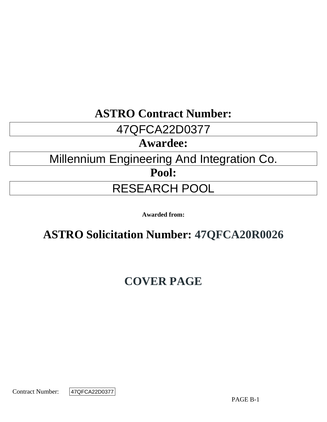## **ASTRO Contract Number:**

## 47QFCA22D0377

## **Awardee:**

# Millennium Engineering And Integration Co.

## **Pool:**

# RESEARCH POOL

**Awarded from:**

## **ASTRO Solicitation Number: 47QFCA20R0026**

# **COVER PAGE**

Contract Number:

47QFCA22D0377

PAGE B-1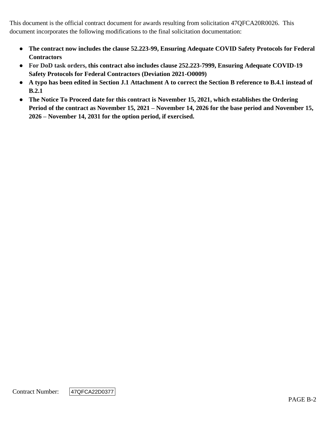This document is the official contract document for awards resulting from solicitation 47QFCA20R0026. This document incorporates the following modifications to the final solicitation documentation:

- **The contract now includes the clause 52.223-99, Ensuring Adequate COVID Safety Protocols for Federal Contractors**
- **For DoD task orders, this contract also includes clause 252.223-7999, Ensuring Adequate COVID-19 Safety Protocols for Federal Contractors (Deviation 2021-O0009)**
- **A typo has been edited in Section J.1 Attachment A to correct the Section B reference to B.4.1 instead of B.2.1**
- **The Notice To Proceed date for this contract is November 15, 2021, which establishes the Ordering Period of the contract as November 15, 2021 – November 14, 2026 for the base period and November 15, 2026 – November 14, 2031 for the option period, if exercised.**

Contract Number:

47QFCA22D0377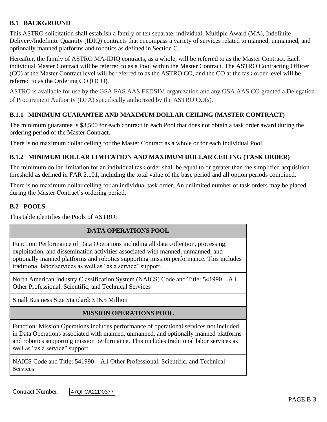## **B.1 BACKGROUND**

This ASTRO solicitation shall establish a family of ten separate, individual, Multiple Award (MA), Indefinite Delivery/Indefinite Quantity (IDIQ) contracts that encompass a variety of services related to manned, unmanned, and optionally manned platforms and robotics as defined in Section C.

Hereafter, the family of ASTRO MA-IDIQ contracts, as a whole, will be referred to as the Master Contract. Each individual Master Contract will be referred to as a Pool within the Master Contract. The ASTRO Contracting Officer (CO) at the Master Contract level will be referred to as the ASTRO CO, and the CO at the task order level will be referred to as the Ordering CO (OCO).

ASTRO is available for use by the GSA FAS AAS FEDSIM organization and any GSA AAS CO granted a Delegation of Procurement Authority (DPA) specifically authorized by the ASTRO CO(s).

## **B.1.1 MINIMUM GUARANTEE AND MAXIMUM DOLLAR CEILING (MASTER CONTRACT)**

The minimum guarantee is \$3,500 for each contract in each Pool that does not obtain a task order award during the ordering period of the Master Contract.

There is no maximum dollar ceiling for the Master Contract as a whole or for each individual Pool.

## **B.1.2 MINIMUM DOLLAR LIMITATION AND MAXIMUM DOLLAR CEILING (TASK ORDER)**

The minimum dollar limitation for an individual task order shall be equal to or greater than the simplified acquisition threshold as defined in FAR 2.101, including the total value of the base period and all option periods combined.

There is no maximum dollar ceiling for an individual task order. An unlimited number of task orders may be placed during the Master Contract's ordering period.

## **B.2 POOLS**

This table identifies the Pools of ASTRO:

#### **DATA OPERATIONS POOL**

Function: Performance of Data Operations including all data collection, processing, exploitation, and dissemination activities associated with manned, unmanned, and optionally manned platforms and robotics supporting mission performance. This includes traditional labor services as well as "as a service" support.

North American Industry Classification System (NAICS) Code and Title: 541990 – All Other Professional, Scientific, and Technical Services

Small Business Size Standard: \$16.5 Million

#### **MISSION OPERATIONS POOL**

Function: Mission Operations includes performance of operational services not included in Data Operations associated with manned, unmanned, and optionally manned platforms and robotics supporting mission performance. This includes traditional labor services as well as "as a service" support.

NAICS Code and Title: 541990 – All Other Professional, Scientific, and Technical **Services** 

Contract Number:

47QFCA22D0377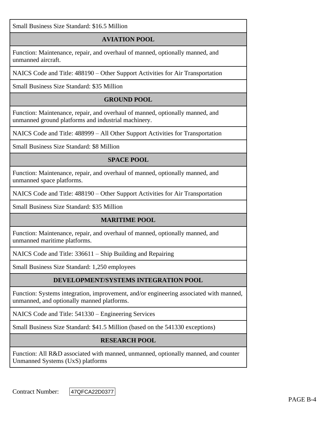Small Business Size Standard: \$16.5 Million

## **AVIATION POOL**

Function: Maintenance, repair, and overhaul of manned, optionally manned, and unmanned aircraft.

NAICS Code and Title: 488190 – Other Support Activities for Air Transportation

Small Business Size Standard: \$35 Million

## **GROUND POOL**

Function: Maintenance, repair, and overhaul of manned, optionally manned, and unmanned ground platforms and industrial machinery.

NAICS Code and Title: 488999 – All Other Support Activities for Transportation

Small Business Size Standard: \$8 Million

## **SPACE POOL**

Function: Maintenance, repair, and overhaul of manned, optionally manned, and unmanned space platforms.

NAICS Code and Title: 488190 – Other Support Activities for Air Transportation

Small Business Size Standard: \$35 Million

#### **MARITIME POOL**

Function: Maintenance, repair, and overhaul of manned, optionally manned, and unmanned maritime platforms.

NAICS Code and Title: 336611 – Ship Building and Repairing

Small Business Size Standard: 1,250 employees

## **DEVELOPMENT/SYSTEMS INTEGRATION POOL**

Function: Systems integration, improvement, and/or engineering associated with manned, unmanned, and optionally manned platforms.

NAICS Code and Title: 541330 – Engineering Services

Small Business Size Standard: \$41.5 Million (based on the 541330 exceptions)

#### **RESEARCH POOL**

Function: All R&D associated with manned, unmanned, optionally manned, and counter Unmanned Systems (UxS) platforms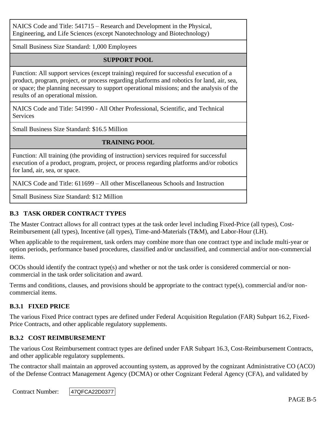NAICS Code and Title: 541715 – Research and Development in the Physical, Engineering, and Life Sciences (except Nanotechnology and Biotechnology)

Small Business Size Standard: 1,000 Employees

## **SUPPORT POOL**

Function: All support services (except training) required for successful execution of a product, program, project, or process regarding platforms and robotics for land, air, sea, or space; the planning necessary to support operational missions; and the analysis of the results of an operational mission.

NAICS Code and Title: 541990 - All Other Professional, Scientific, and Technical **Services** 

Small Business Size Standard: \$16.5 Million

## **TRAINING POOL**

Function: All training (the providing of instruction) services required for successful execution of a product, program, project, or process regarding platforms and/or robotics for land, air, sea, or space.

NAICS Code and Title: 611699 – All other Miscellaneous Schools and Instruction

Small Business Size Standard: \$12 Million

## **B.3 TASK ORDER CONTRACT TYPES**

The Master Contract allows for all contract types at the task order level including Fixed-Price (all types), Cost-Reimbursement (all types), Incentive (all types), Time-and-Materials (T&M), and Labor-Hour (LH).

When applicable to the requirement, task orders may combine more than one contract type and include multi-year or option periods, performance based procedures, classified and/or unclassified, and commercial and/or non-commercial items.

OCOs should identify the contract type(s) and whether or not the task order is considered commercial or noncommercial in the task order solicitation and award.

Terms and conditions, clauses, and provisions should be appropriate to the contract type(s), commercial and/or noncommercial items.

#### **B.3.1 FIXED PRICE**

The various Fixed Price contract types are defined under Federal Acquisition Regulation (FAR) Subpart 16.2, Fixed-Price Contracts, and other applicable regulatory supplements.

#### **B.3.2 COST REIMBURSEMENT**

The various Cost Reimbursement contract types are defined under FAR Subpart 16.3, Cost-Reimbursement Contracts, and other applicable regulatory supplements.

The contractor shall maintain an approved accounting system, as approved by the cognizant Administrative CO (ACO) of the Defense Contract Management Agency (DCMA) or other Cognizant Federal Agency (CFA), and validated by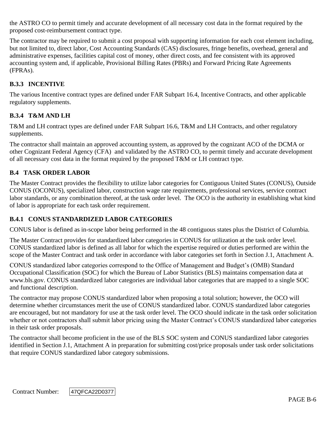the ASTRO CO to permit timely and accurate development of all necessary cost data in the format required by the proposed cost-reimbursement contract type.

The contractor may be required to submit a cost proposal with supporting information for each cost element including, but not limited to, direct labor, Cost Accounting Standards (CAS) disclosures, fringe benefits, overhead, general and administrative expenses, facilities capital cost of money, other direct costs, and fee consistent with its approved accounting system and, if applicable, Provisional Billing Rates (PBRs) and Forward Pricing Rate Agreements (FPRAs).

## **B.3.3 INCENTIVE**

The various Incentive contract types are defined under FAR Subpart 16.4, Incentive Contracts, and other applicable regulatory supplements.

## **B.3.4 T&M AND LH**

T&M and LH contract types are defined under FAR Subpart 16.6, T&M and LH Contracts, and other regulatory supplements.

The contractor shall maintain an approved accounting system, as approved by the cognizant ACO of the DCMA or other Cognizant Federal Agency (CFA) and validated by the ASTRO CO, to permit timely and accurate development of all necessary cost data in the format required by the proposed T&M or LH contract type.

## **B.4 TASK ORDER LABOR**

The Master Contract provides the flexibility to utilize labor categories for Contiguous United States (CONUS), Outside CONUS (OCONUS), specialized labor, construction wage rate requirements, professional services, service contract labor standards, or any combination thereof, at the task order level. The OCO is the authority in establishing what kind of labor is appropriate for each task order requirement.

#### **B.4.1 CONUS STANDARDIZED LABOR CATEGORIES**

CONUS labor is defined as in-scope labor being performed in the 48 contiguous states plus the District of Columbia.

The Master Contract provides for standardized labor categories in CONUS for utilization at the task order level. CONUS standardized labor is defined as all labor for which the expertise required or duties performed are within the scope of the Master Contract and task order in accordance with labor categories set forth in Section J.1, Attachment A.

CONUS standardized labor categories correspond to the Office of Management and Budget's (OMB) Standard Occupational Classification (SOC) for which the Bureau of Labor Statistics (BLS) maintains compensation data at www.bls.gov. CONUS standardized labor categories are individual labor categories that are mapped to a single SOC and functional description.

The contractor may propose CONUS standardized labor when proposing a total solution; however, the OCO will determine whether circumstances merit the use of CONUS standardized labor. CONUS standardized labor categories are encouraged, but not mandatory for use at the task order level. The OCO should indicate in the task order solicitation whether or not contractors shall submit labor pricing using the Master Contract's CONUS standardized labor categories in their task order proposals.

The contractor shall become proficient in the use of the BLS SOC system and CONUS standardized labor categories identified in Section J.1, Attachment A in preparation for submitting cost/price proposals under task order solicitations that require CONUS standardized labor category submissions.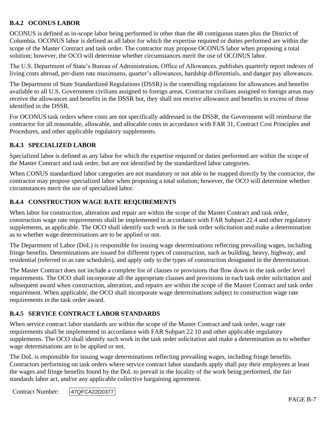## **B.4.2 OCONUS LABOR**

OCONUS is defined as in-scope labor being performed in other than the 48 contiguous states plus the District of Columbia. OCONUS labor is defined as all labor for which the expertise required or duties performed are within the scope of the Master Contract and task order. The contractor may propose OCONUS labor when proposing a total solution; however, the OCO will determine whether circumstances merit the use of OCONUS labor.

The U.S. Department of State's Bureau of Administration, Office of Allowances, publishes quarterly report indexes of living costs abroad, per-diem rate maximums, quarter's allowances, hardship differentials, and danger pay allowances.

The Department of State Standardized Regulations (DSSR) is the controlling regulations for allowances and benefits available to all U.S. Government civilians assigned to foreign areas. Contractor civilians assigned to foreign areas may receive the allowances and benefits in the DSSR but, they shall not receive allowance and benefits in excess of those identified in the DSSR.

For OCONUS task orders where costs are not specifically addressed in the DSSR, the Government will reimburse the contractor for all reasonable, allowable, and allocable costs in accordance with FAR 31, Contract Cost Principles and Procedures, and other applicable regulatory supplements.

#### **B.4.3 SPECIALIZED LABOR**

Specialized labor is defined as any labor for which the expertise required or duties performed are within the scope of the Master Contract and task order, but are not identified by the standardized labor categories.

When CONUS standardized labor categories are not mandatory or not able to be mapped directly by the contractor, the contractor may propose specialized labor when proposing a total solution; however, the OCO will determine whether circumstances merit the use of specialized labor.

## **B.4.4 CONSTRUCTION WAGE RATE REQUIREMENTS**

When labor for construction, alteration and repair are within the scope of the Master Contract and task order, construction wage rate requirements shall be implemented in accordance with FAR Subpart 22.4 and other regulatory supplements, as applicable. The OCO shall identify such work in the task order solicitation and make a determination as to whether wage determinations are to be applied or not.

The Department of Labor (DoL) is responsible for issuing wage determinations reflecting prevailing wages, including fringe benefits. Determinations are issued for different types of construction, such as building, heavy, highway, and residential (referred to as rate schedules), and apply only to the types of construction designated in the determination.

The Master Contract does not include a complete list of clauses or provisions that flow down to the task order level requirements. The OCO shall incorporate all the appropriate clauses and provisions in each task order solicitation and subsequent award when construction, alteration, and repairs are within the scope of the Master Contract and task order requirement. When applicable, the OCO shall incorporate wage determinations subject to construction wage rate requirements in the task order award.

#### **B.4.5 SERVICE CONTRACT LABOR STANDARDS**

When service contract labor standards are within the scope of the Master Contract and task order, wage rate requirements shall be implemented in accordance with FAR Subpart 22.10 and other applicable regulatory supplements. The OCO shall identify such work in the task order solicitation and make a determination as to whether wage determinations are to be applied or not.

The DoL is responsible for issuing wage determinations reflecting prevailing wages, including fringe benefits. Contractors performing on task orders where service contract labor standards apply shall pay their employees at least the wages and fringe benefits found by the DoL to prevail in the locality of the work being performed, the fair standards labor act, and/or any applicable collective bargaining agreement.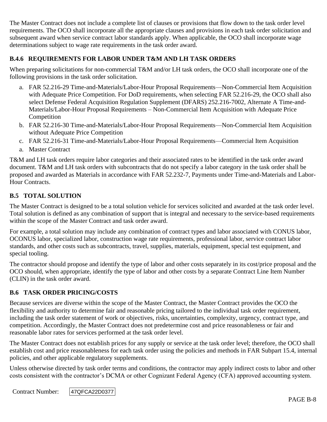The Master Contract does not include a complete list of clauses or provisions that flow down to the task order level requirements. The OCO shall incorporate all the appropriate clauses and provisions in each task order solicitation and subsequent award when service contract labor standards apply. When applicable, the OCO shall incorporate wage determinations subject to wage rate requirements in the task order award.

## **B.4.6 REQUIREMENTS FOR LABOR UNDER T&M AND LH TASK ORDERS**

When preparing solicitations for non-commercial T&M and/or LH task orders, the OCO shall incorporate one of the following provisions in the task order solicitation.

- a. FAR 52.216-29 Time-and-Materials/Labor-Hour Proposal Requirements—Non-Commercial Item Acquisition with Adequate Price Competition. For DoD requirements, when selecting FAR 52.216-29, the OCO shall also select Defense Federal Acquisition Regulation Supplement (DFARS) 252.216-7002, Alternate A Time-and-Materials/Labor-Hour Proposal Requirements – Non-Commercial Item Acquisition with Adequate Price Competition
- b. FAR 52.216-30 Time-and-Materials/Labor-Hour Proposal Requirements—Non-Commercial Item Acquisition without Adequate Price Competition
- c. FAR 52.216-31 Time-and-Materials/Labor-Hour Proposal Requirements—Commercial Item Acquisition
- a. Master Contract

T&M and LH task orders require labor categories and their associated rates to be identified in the task order award document. T&M and LH task orders with subcontracts that do not specify a labor category in the task order shall be proposed and awarded as Materials in accordance with FAR 52.232-7, Payments under Time-and-Materials and Labor-Hour Contracts.

## **B.5 TOTAL SOLUTION**

The Master Contract is designed to be a total solution vehicle for services solicited and awarded at the task order level. Total solution is defined as any combination of support that is integral and necessary to the service-based requirements within the scope of the Master Contract and task order award.

For example, a total solution may include any combination of contract types and labor associated with CONUS labor, OCONUS labor, specialized labor, construction wage rate requirements, professional labor, service contract labor standards, and other costs such as subcontracts, travel, supplies, materials, equipment, special test equipment, and special tooling.

The contractor should propose and identify the type of labor and other costs separately in its cost/price proposal and the OCO should, when appropriate, identify the type of labor and other costs by a separate Contract Line Item Number (CLIN) in the task order award.

#### **B.6 TASK ORDER PRICING/COSTS**

Because services are diverse within the scope of the Master Contract, the Master Contract provides the OCO the flexibility and authority to determine fair and reasonable pricing tailored to the individual task order requirement, including the task order statement of work or objectives, risks, uncertainties, complexity, urgency, contract type, and competition. Accordingly, the Master Contract does not predetermine cost and price reasonableness or fair and reasonable labor rates for services performed at the task order level.

The Master Contract does not establish prices for any supply or service at the task order level; therefore, the OCO shall establish cost and price reasonableness for each task order using the policies and methods in FAR Subpart 15.4, internal policies, and other applicable regulatory supplements.

Unless otherwise directed by task order terms and conditions, the contractor may apply indirect costs to labor and other costs consistent with the contractor's DCMA or other Cognizant Federal Agency (CFA) approved accounting system.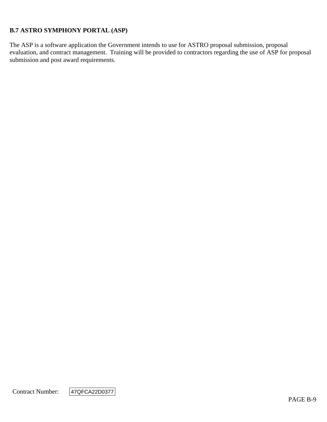## **B.7 ASTRO SYMPHONY PORTAL (ASP)**

The ASP is a software application the Government intends to use for ASTRO proposal submission, proposal evaluation, and contract management. Training will be provided to contractors regarding the use of ASP for proposal submission and post award requirements.

Contract Number: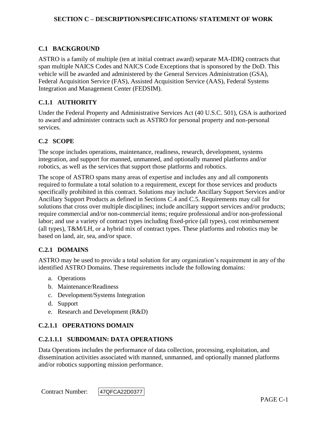## **C.1 BACKGROUND**

ASTRO is a family of multiple (ten at initial contract award) separate MA-IDIQ contracts that span multiple NAICS Codes and NAICS Code Exceptions that is sponsored by the DoD. This vehicle will be awarded and administered by the General Services Administration (GSA), Federal Acquisition Service (FAS), Assisted Acquisition Service (AAS), Federal Systems Integration and Management Center (FEDSIM).

### **C.1.1 AUTHORITY**

Under the Federal Property and Administrative Services Act (40 U.S.C. 501), GSA is authorized to award and administer contracts such as ASTRO for personal property and non-personal services.

#### **C.2 SCOPE**

The scope includes operations, maintenance, readiness, research, development, systems integration, and support for manned, unmanned, and optionally manned platforms and/or robotics, as well as the services that support those platforms and robotics.

The scope of ASTRO spans many areas of expertise and includes any and all components required to formulate a total solution to a requirement, except for those services and products specifically prohibited in this contract. Solutions may include Ancillary Support Services and/or Ancillary Support Products as defined in Sections C.4 and C.5. Requirements may call for solutions that cross over multiple disciplines; include ancillary support services and/or products; require commercial and/or non-commercial items; require professional and/or non-professional labor; and use a variety of contract types including fixed-price (all types), cost reimbursement (all types), T&M/LH, or a hybrid mix of contract types. These platforms and robotics may be based on land, air, sea, and/or space.

#### **C.2.1 DOMAINS**

ASTRO may be used to provide a total solution for any organization's requirement in any of the identified ASTRO Domains. These requirements include the following domains:

- a. Operations
- b. Maintenance/Readiness
- c. Development/Systems Integration
- d. Support
- e. Research and Development (R&D)

#### **C.2.1.1 OPERATIONS DOMAIN**

#### **C.2.1.1.1 SUBDOMAIN: DATA OPERATIONS**

Data Operations includes the performance of data collection, processing, exploitation, and dissemination activities associated with manned, unmanned, and optionally manned platforms and/or robotics supporting mission performance.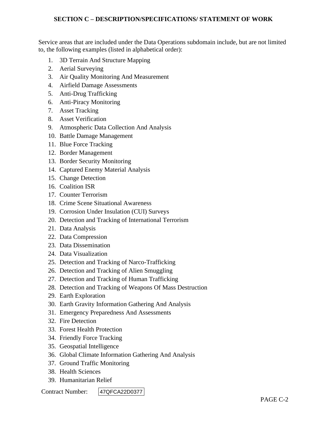Service areas that are included under the Data Operations subdomain include, but are not limited to, the following examples (listed in alphabetical order):

- 1. 3D Terrain And Structure Mapping
- 2. Aerial Surveying
- 3. Air Quality Monitoring And Measurement
- 4. Airfield Damage Assessments
- 5. Anti-Drug Trafficking
- 6. Anti-Piracy Monitoring
- 7. Asset Tracking
- 8. Asset Verification
- 9. Atmospheric Data Collection And Analysis
- 10. Battle Damage Management
- 11. Blue Force Tracking
- 12. Border Management
- 13. Border Security Monitoring
- 14. Captured Enemy Material Analysis
- 15. Change Detection
- 16. Coalition ISR
- 17. Counter Terrorism
- 18. Crime Scene Situational Awareness
- 19. Corrosion Under Insulation (CUI) Surveys
- 20. Detection and Tracking of International Terrorism
- 21. Data Analysis
- 22. Data Compression
- 23. Data Dissemination
- 24. Data Visualization
- 25. Detection and Tracking of Narco-Trafficking
- 26. Detection and Tracking of Alien Smuggling
- 27. Detection and Tracking of Human Trafficking
- 28. Detection and Tracking of Weapons Of Mass Destruction
- 29. Earth Exploration
- 30. Earth Gravity Information Gathering And Analysis
- 31. Emergency Preparedness And Assessments
- 32. Fire Detection
- 33. Forest Health Protection
- 34. Friendly Force Tracking
- 35. Geospatial Intelligence
- 36. Global Climate Information Gathering And Analysis
- 37. Ground Traffic Monitoring
- 38. Health Sciences
- 39. Humanitarian Relief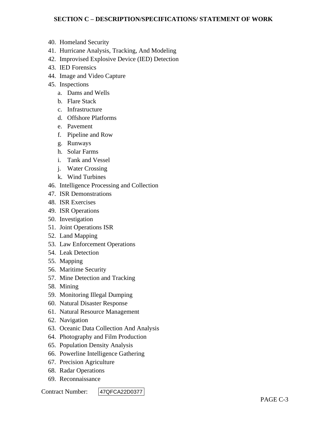- 40. Homeland Security
- 41. Hurricane Analysis, Tracking, And Modeling
- 42. Improvised Explosive Device (IED) Detection
- 43. IED Forensics
- 44. Image and Video Capture
- 45. Inspections
	- a. Dams and Wells
	- b. Flare Stack
	- c. Infrastructure
	- d. Offshore Platforms
	- e. Pavement
	- f. Pipeline and Row
	- g. Runways
	- h. Solar Farms
	- i. Tank and Vessel
	- j. Water Crossing
	- k. Wind Turbines
- 46. Intelligence Processing and Collection
- 47. ISR Demonstrations
- 48. ISR Exercises
- 49. ISR Operations
- 50. Investigation
- 51. Joint Operations ISR
- 52. Land Mapping
- 53. Law Enforcement Operations
- 54. Leak Detection
- 55. Mapping
- 56. Maritime Security
- 57. Mine Detection and Tracking
- 58. Mining
- 59. Monitoring Illegal Dumping
- 60. Natural Disaster Response
- 61. Natural Resource Management
- 62. Navigation
- 63. Oceanic Data Collection And Analysis
- 64. Photography and Film Production
- 65. Population Density Analysis
- 66. Powerline Intelligence Gathering
- 67. Precision Agriculture
- 68. Radar Operations
- 69. Reconnaissance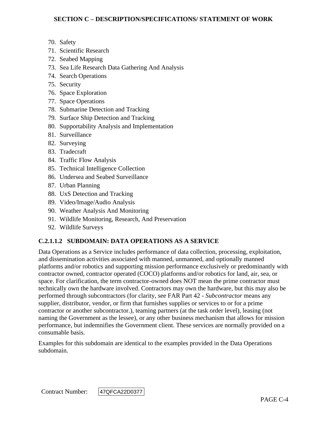- 70. Safety
- 71. Scientific Research
- 72. Seabed Mapping
- 73. Sea Life Research Data Gathering And Analysis
- 74. Search Operations
- 75. Security
- 76. Space Exploration
- 77. Space Operations
- 78. Submarine Detection and Tracking
- 79. Surface Ship Detection and Tracking
- 80. Supportability Analysis and Implementation
- 81. Surveillance
- 82. Surveying
- 83. Tradecraft
- 84. Traffic Flow Analysis
- 85. Technical Intelligence Collection
- 86. Undersea and Seabed Surveillance
- 87. Urban Planning
- 88. UxS Detection and Tracking
- 89. Video/Image/Audio Analysis
- 90. Weather Analysis And Monitoring
- 91. Wildlife Monitoring, Research, And Preservation
- 92. Wildlife Surveys

## **C.2.1.1.2 SUBDOMAIN: DATA OPERATIONS AS A SERVICE**

Data Operations as a Service includes performance of data collection, processing, exploitation, and dissemination activities associated with manned, unmanned, and optionally manned platforms and/or robotics and supporting mission performance exclusively or predominantly with contractor owned, contractor operated (COCO) platforms and/or robotics for land, air, sea, or space. For clarification, the term contractor-owned does NOT mean the prime contractor must technically own the hardware involved. Contractors may own the hardware, but this may also be performed through subcontractors (for clarity, see FAR Part 42 - *Subcontractor* means any supplier, distributor, vendor, or firm that furnishes supplies or services to or for a prime contractor or another subcontractor.), teaming partners (at the task order level), leasing (not naming the Government as the lessee), or any other business mechanism that allows for mission performance, but indemnifies the Government client. These services are normally provided on a consumable basis.

Examples for this subdomain are identical to the examples provided in the Data Operations subdomain.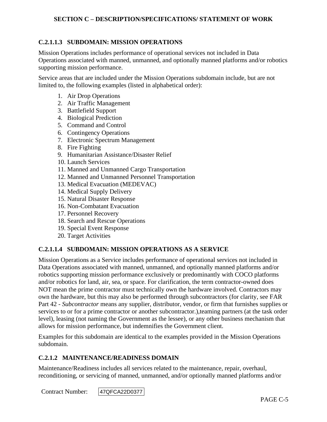## **C.2.1.1.3 SUBDOMAIN: MISSION OPERATIONS**

Mission Operations includes performance of operational services not included in Data Operations associated with manned, unmanned, and optionally manned platforms and/or robotics supporting mission performance.

Service areas that are included under the Mission Operations subdomain include, but are not limited to, the following examples (listed in alphabetical order):

- 1. Air Drop Operations
- 2. Air Traffic Management
- 3. Battlefield Support
- 4. Biological Prediction
- 5. Command and Control
- 6. Contingency Operations
- 7. Electronic Spectrum Management
- 8. Fire Fighting
- 9. Humanitarian Assistance/Disaster Relief
- 10. Launch Services
- 11. Manned and Unmanned Cargo Transportation
- 12. Manned and Unmanned Personnel Transportation
- 13. Medical Evacuation (MEDEVAC)
- 14. Medical Supply Delivery
- 15. Natural Disaster Response
- 16. Non-Combatant Evacuation
- 17. Personnel Recovery
- 18. Search and Rescue Operations
- 19. Special Event Response
- 20. Target Activities

#### **C.2.1.1.4 SUBDOMAIN: MISSION OPERATIONS AS A SERVICE**

Mission Operations as a Service includes performance of operational services not included in Data Operations associated with manned, unmanned, and optionally manned platforms and/or robotics supporting mission performance exclusively or predominantly with COCO platforms and/or robotics for land, air, sea, or space. For clarification, the term contractor-owned does NOT mean the prime contractor must technically own the hardware involved. Contractors may own the hardware, but this may also be performed through subcontractors (for clarity, see FAR Part 42 - *Subcontractor* means any supplier, distributor, vendor, or firm that furnishes supplies or services to or for a prime contractor or another subcontractor.),teaming partners (at the task order level), leasing (not naming the Government as the lessee), or any other business mechanism that allows for mission performance, but indemnifies the Government client.

Examples for this subdomain are identical to the examples provided in the Mission Operations subdomain.

#### **C.2.1.2 MAINTENANCE/READINESS DOMAIN**

Maintenance/Readiness includes all services related to the maintenance, repair, overhaul, reconditioning, or servicing of manned, unmanned, and/or optionally manned platforms and/or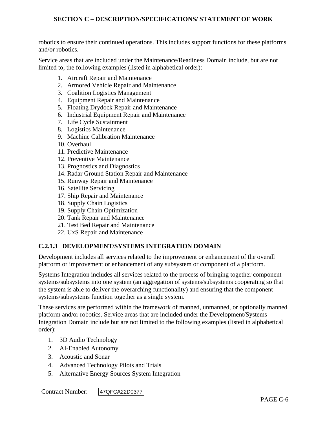robotics to ensure their continued operations. This includes support functions for these platforms and/or robotics.

Service areas that are included under the Maintenance/Readiness Domain include, but are not limited to, the following examples (listed in alphabetical order):

- 1. Aircraft Repair and Maintenance
- 2. Armored Vehicle Repair and Maintenance
- 3. Coalition Logistics Management
- 4. Equipment Repair and Maintenance
- 5. Floating Drydock Repair and Maintenance
- 6. Industrial Equipment Repair and Maintenance
- 7. Life Cycle Sustainment
- 8. Logistics Maintenance
- 9. Machine Calibration Maintenance
- 10. Overhaul
- 11. Predictive Maintenance
- 12. Preventive Maintenance
- 13. Prognostics and Diagnostics
- 14. Radar Ground Station Repair and Maintenance
- 15. Runway Repair and Maintenance
- 16. Satellite Servicing
- 17. Ship Repair and Maintenance
- 18. Supply Chain Logistics
- 19. Supply Chain Optimization
- 20. Tank Repair and Maintenance
- 21. Test Bed Repair and Maintenance
- 22. UxS Repair and Maintenance

#### **C.2.1.3 DEVELOPMENT/SYSTEMS INTEGRATION DOMAIN**

Development includes all services related to the improvement or enhancement of the overall platform or improvement or enhancement of any subsystem or component of a platform.

Systems Integration includes all services related to the process of bringing together component systems/subsystems into one system (an aggregation of systems/subsystems cooperating so that the system is able to deliver the overarching functionality) and ensuring that the component systems/subsystems function together as a single system.

These services are performed within the framework of manned, unmanned, or optionally manned platform and/or robotics. Service areas that are included under the Development/Systems Integration Domain include but are not limited to the following examples (listed in alphabetical order):

- 1. 3D Audio Technology
- 2. AI-Enabled Autonomy
- 3. Acoustic and Sonar
- 4. Advanced Technology Pilots and Trials
- 5. Alternative Energy Sources System Integration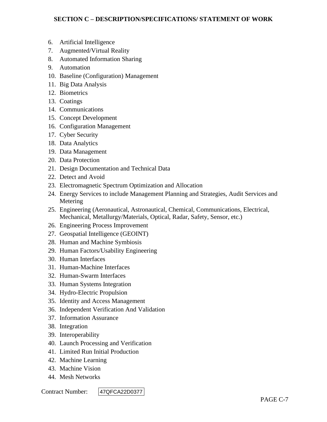- 6. Artificial Intelligence
- 7. Augmented/Virtual Reality
- 8. Automated Information Sharing
- 9. Automation
- 10. Baseline (Configuration) Management
- 11. Big Data Analysis
- 12. Biometrics
- 13. Coatings
- 14. Communications
- 15. Concept Development
- 16. Configuration Management
- 17. Cyber Security
- 18. Data Analytics
- 19. Data Management
- 20. Data Protection
- 21. Design Documentation and Technical Data
- 22. Detect and Avoid
- 23. Electromagnetic Spectrum Optimization and Allocation
- 24. Energy Services to include Management Planning and Strategies, Audit Services and Metering
- 25. Engineering (Aeronautical, Astronautical, Chemical, Communications, Electrical, Mechanical, Metallurgy/Materials, Optical, Radar, Safety, Sensor, etc.)
- 26. Engineering Process Improvement
- 27. Geospatial Intelligence (GEOINT)
- 28. Human and Machine Symbiosis
- 29. Human Factors/Usability Engineering
- 30. Human Interfaces
- 31. Human-Machine Interfaces
- 32. Human-Swarm Interfaces
- 33. Human Systems Integration
- 34. Hydro-Electric Propulsion
- 35. Identity and Access Management
- 36. Independent Verification And Validation
- 37. Information Assurance
- 38. Integration
- 39. Interoperability
- 40. Launch Processing and Verification
- 41. Limited Run Initial Production
- 42. Machine Learning
- 43. Machine Vision
- 44. Mesh Networks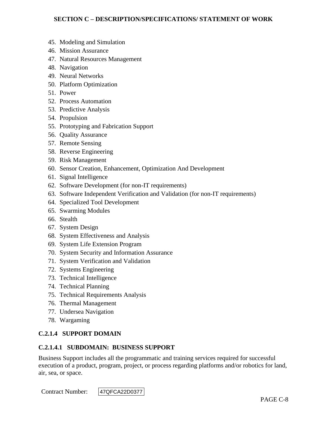- 45. Modeling and Simulation
- 46. Mission Assurance
- 47. Natural Resources Management
- 48. Navigation
- 49. Neural Networks
- 50. Platform Optimization
- 51. Power
- 52. Process Automation
- 53. Predictive Analysis
- 54. Propulsion
- 55. Prototyping and Fabrication Support
- 56. Quality Assurance
- 57. Remote Sensing
- 58. Reverse Engineering
- 59. Risk Management
- 60. Sensor Creation, Enhancement, Optimization And Development
- 61. Signal Intelligence
- 62. Software Development (for non-IT requirements)
- 63. Software Independent Verification and Validation (for non-IT requirements)
- 64. Specialized Tool Development
- 65. Swarming Modules
- 66. Stealth
- 67. System Design
- 68. System Effectiveness and Analysis
- 69. System Life Extension Program
- 70. System Security and Information Assurance
- 71. System Verification and Validation
- 72. Systems Engineering
- 73. Technical Intelligence
- 74. Technical Planning
- 75. Technical Requirements Analysis
- 76. Thermal Management
- 77. Undersea Navigation
- 78. Wargaming

#### **C.2.1.4 SUPPORT DOMAIN**

#### **C.2.1.4.1 SUBDOMAIN: BUSINESS SUPPORT**

Business Support includes all the programmatic and training services required for successful execution of a product, program, project, or process regarding platforms and/or robotics for land, air, sea, or space.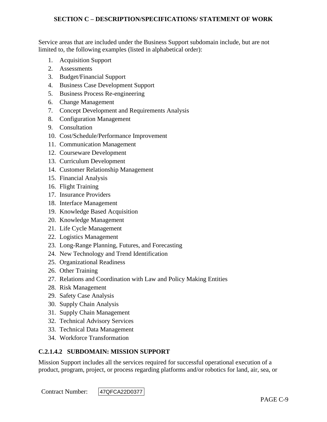Service areas that are included under the Business Support subdomain include, but are not limited to, the following examples (listed in alphabetical order):

- 1. Acquisition Support
- 2. Assessments
- 3. Budget/Financial Support
- 4. Business Case Development Support
- 5. Business Process Re-engineering
- 6. Change Management
- 7. Concept Development and Requirements Analysis
- 8. Configuration Management
- 9. Consultation
- 10. Cost/Schedule/Performance Improvement
- 11. Communication Management
- 12. Courseware Development
- 13. Curriculum Development
- 14. Customer Relationship Management
- 15. Financial Analysis
- 16. Flight Training
- 17. Insurance Providers
- 18. Interface Management
- 19. Knowledge Based Acquisition
- 20. Knowledge Management
- 21. Life Cycle Management
- 22. Logistics Management
- 23. Long-Range Planning, Futures, and Forecasting
- 24. New Technology and Trend Identification
- 25. Organizational Readiness
- 26. Other Training
- 27. Relations and Coordination with Law and Policy Making Entities
- 28. Risk Management
- 29. Safety Case Analysis
- 30. Supply Chain Analysis
- 31. Supply Chain Management
- 32. Technical Advisory Services
- 33. Technical Data Management
- 34. Workforce Transformation

## **C.2.1.4.2 SUBDOMAIN: MISSION SUPPORT**

Mission Support includes all the services required for successful operational execution of a product, program, project, or process regarding platforms and/or robotics for land, air, sea, or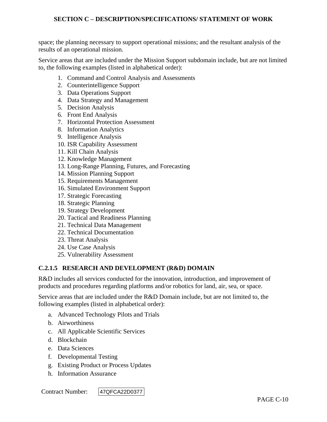space; the planning necessary to support operational missions; and the resultant analysis of the results of an operational mission.

Service areas that are included under the Mission Support subdomain include, but are not limited to, the following examples (listed in alphabetical order):

- 1. Command and Control Analysis and Assessments
- 2. Counterintelligence Support
- 3. Data Operations Support
- 4. Data Strategy and Management
- 5. Decision Analysis
- 6. Front End Analysis
- 7. Horizontal Protection Assessment
- 8. Information Analytics
- 9. Intelligence Analysis
- 10. ISR Capability Assessment
- 11. Kill Chain Analysis
- 12. Knowledge Management
- 13. Long-Range Planning, Futures, and Forecasting
- 14. Mission Planning Support
- 15. Requirements Management
- 16. Simulated Environment Support
- 17. Strategic Forecasting
- 18. Strategic Planning
- 19. Strategy Development
- 20. Tactical and Readiness Planning
- 21. Technical Data Management
- 22. Technical Documentation
- 23. Threat Analysis
- 24. Use Case Analysis
- 25. Vulnerability Assessment

#### **C.2.1.5 RESEARCH AND DEVELOPMENT (R&D) DOMAIN**

R&D includes all services conducted for the innovation, introduction, and improvement of products and procedures regarding platforms and/or robotics for land, air, sea, or space.

Service areas that are included under the R&D Domain include, but are not limited to, the following examples (listed in alphabetical order):

- a. Advanced Technology Pilots and Trials
- b. Airworthiness
- c. All Applicable Scientific Services
- d. Blockchain
- e. Data Sciences
- f. Developmental Testing
- g. Existing Product or Process Updates
- h. Information Assurance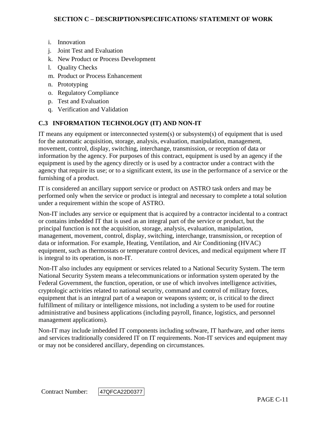- i. Innovation
- j. Joint Test and Evaluation
- k. New Product or Process Development
- l. Quality Checks
- m. Product or Process Enhancement
- n. Prototyping
- o. Regulatory Compliance
- p. Test and Evaluation
- q. Verification and Validation

## **C.3 INFORMATION TECHNOLOGY (IT) AND NON-IT**

IT means any equipment or interconnected system(s) or subsystem(s) of equipment that is used for the automatic acquisition, storage, analysis, evaluation, manipulation, management, movement, control, display, switching, interchange, transmission, or reception of data or information by the agency. For purposes of this contract, equipment is used by an agency if the equipment is used by the agency directly or is used by a contractor under a contract with the agency that require its use; or to a significant extent, its use in the performance of a service or the furnishing of a product.

IT is considered an ancillary support service or product on ASTRO task orders and may be performed only when the service or product is integral and necessary to complete a total solution under a requirement within the scope of ASTRO.

Non-IT includes any service or equipment that is acquired by a contractor incidental to a contract or contains imbedded IT that is used as an integral part of the service or product, but the principal function is not the acquisition, storage, analysis, evaluation, manipulation, management, movement, control, display, switching, interchange, transmission, or reception of data or information. For example, Heating, Ventilation, and Air Conditioning (HVAC) equipment, such as thermostats or temperature control devices, and medical equipment where IT is integral to its operation, is non-IT.

Non-IT also includes any equipment or services related to a National Security System. The term National Security System means a telecommunications or information system operated by the Federal Government, the function, operation, or use of which involves intelligence activities, cryptologic activities related to national security, command and control of military forces, equipment that is an integral part of a weapon or weapons system; or, is critical to the direct fulfillment of military or intelligence missions, not including a system to be used for routine administrative and business applications (including payroll, finance, logistics, and personnel management applications).

Non-IT may include imbedded IT components including software, IT hardware, and other items and services traditionally considered IT on IT requirements. Non-IT services and equipment may or may not be considered ancillary, depending on circumstances.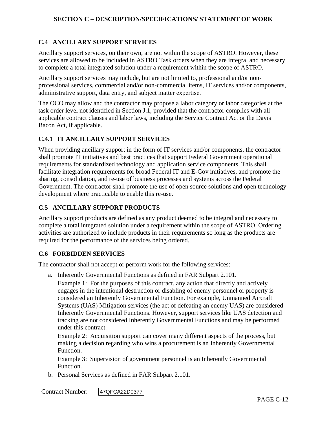## **C.4 ANCILLARY SUPPORT SERVICES**

Ancillary support services, on their own, are not within the scope of ASTRO. However, these services are allowed to be included in ASTRO Task orders when they are integral and necessary to complete a total integrated solution under a requirement within the scope of ASTRO.

Ancillary support services may include, but are not limited to, professional and/or nonprofessional services, commercial and/or non-commercial items, IT services and/or components, administrative support, data entry, and subject matter expertise.

The OCO may allow and the contractor may propose a labor category or labor categories at the task order level not identified in Section J.1, provided that the contractor complies with all applicable contract clauses and labor laws, including the Service Contract Act or the Davis Bacon Act, if applicable.

#### **C.4.1 IT ANCILLARY SUPPORT SERVICES**

When providing ancillary support in the form of IT services and/or components, the contractor shall promote IT initiatives and best practices that support Federal Government operational requirements for standardized technology and application service components. This shall facilitate integration requirements for broad Federal IT and E-Gov initiatives, and promote the sharing, consolidation, and re-use of business processes and systems across the Federal Government. The contractor shall promote the use of open source solutions and open technology development where practicable to enable this re-use.

## **C.5 ANCILLARY SUPPORT PRODUCTS**

Ancillary support products are defined as any product deemed to be integral and necessary to complete a total integrated solution under a requirement within the scope of ASTRO. Ordering activities are authorized to include products in their requirements so long as the products are required for the performance of the services being ordered.

#### **C.6 FORBIDDEN SERVICES**

The contractor shall not accept or perform work for the following services:

a. Inherently Governmental Functions as defined in FAR Subpart 2.101.

Example 1: For the purposes of this contract, any action that directly and actively engages in the intentional destruction or disabling of enemy personnel or property is considered an Inherently Governmental Function. For example, Unmanned Aircraft Systems (UAS) Mitigation services (the act of defeating an enemy UAS) are considered Inherently Governmental Functions. However, support services like UAS detection and tracking are not considered Inherently Governmental Functions and may be performed under this contract.

Example 2: Acquisition support can cover many different aspects of the process, but making a decision regarding who wins a procurement is an Inherently Governmental Function.

Example 3: Supervision of government personnel is an Inherently Governmental Function.

b. Personal Services as defined in FAR Subpart 2.101.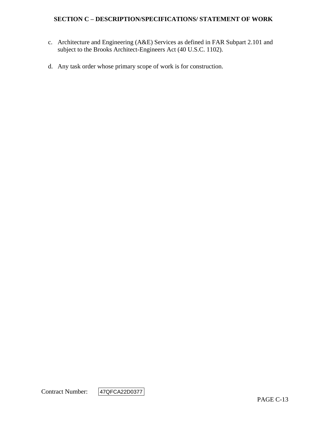- c. Architecture and Engineering (A&E) Services as defined in FAR Subpart 2.101 and subject to the Brooks Architect-Engineers Act (40 U.S.C. 1102).
- d. Any task order whose primary scope of work is for construction.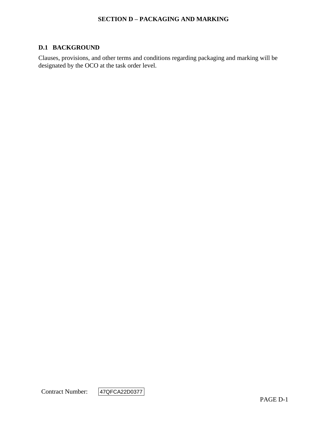#### **SECTION D – PACKAGING AND MARKING**

#### **D.1 BACKGROUND**

Clauses, provisions, and other terms and conditions regarding packaging and marking will be designated by the OCO at the task order level.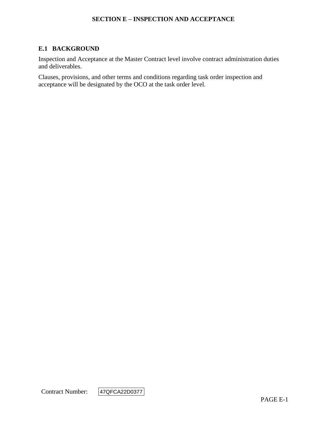#### **SECTION E – INSPECTION AND ACCEPTANCE**

## **E.1 BACKGROUND**

Inspection and Acceptance at the Master Contract level involve contract administration duties and deliverables.

Clauses, provisions, and other terms and conditions regarding task order inspection and acceptance will be designated by the OCO at the task order level.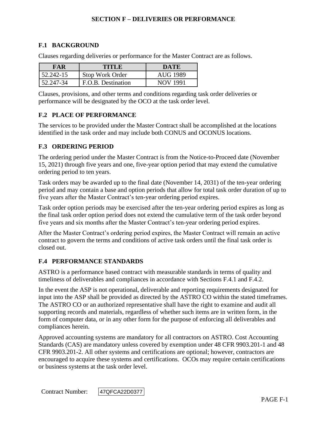## **F.1 BACKGROUND**

Clauses regarding deliveries or performance for the Master Contract are as follows.

| FAR       | TITLE              | DATE     |
|-----------|--------------------|----------|
| 52.242-15 | Stop Work Order    | AUG 1989 |
| 52.247-34 | F.O.B. Destination | NOV 1991 |

Clauses, provisions, and other terms and conditions regarding task order deliveries or performance will be designated by the OCO at the task order level.

#### **F.2 PLACE OF PERFORMANCE**

The services to be provided under the Master Contract shall be accomplished at the locations identified in the task order and may include both CONUS and OCONUS locations.

#### **F.3 ORDERING PERIOD**

The ordering period under the Master Contract is from the Notice-to-Proceed date (November 15, 2021) through five years and one, five-year option period that may extend the cumulative ordering period to ten years.

Task orders may be awarded up to the final date (November 14, 2031) of the ten-year ordering period and may contain a base and option periods that allow for total task order duration of up to five years after the Master Contract's ten-year ordering period expires.

Task order option periods may be exercised after the ten-year ordering period expires as long as the final task order option period does not extend the cumulative term of the task order beyond five years and six months after the Master Contract's ten-year ordering period expires.

After the Master Contract's ordering period expires, the Master Contract will remain an active contract to govern the terms and conditions of active task orders until the final task order is closed out.

#### **F.4 PERFORMANCE STANDARDS**

ASTRO is a performance based contract with measurable standards in terms of quality and timeliness of deliverables and compliances in accordance with Sections F.4.1 and F.4.2.

In the event the ASP is not operational, deliverable and reporting requirements designated for input into the ASP shall be provided as directed by the ASTRO CO within the stated timeframes. The ASTRO CO or an authorized representative shall have the right to examine and audit all supporting records and materials, regardless of whether such items are in written form, in the form of computer data, or in any other form for the purpose of enforcing all deliverables and compliances herein.

Approved accounting systems are mandatory for all contractors on ASTRO. Cost Accounting Standards (CAS) are mandatory unless covered by exemption under 48 CFR 9903.201-1 and 48 CFR 9903.201-2. All other systems and certifications are optional; however, contractors are encouraged to acquire these systems and certifications. OCOs may require certain certifications or business systems at the task order level.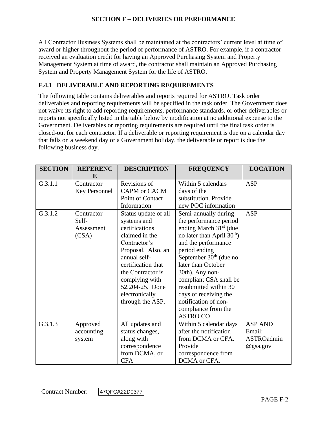All Contractor Business Systems shall be maintained at the contractors' current level at time of award or higher throughout the period of performance of ASTRO. For example, if a contractor received an evaluation credit for having an Approved Purchasing System and Property Management System at time of award, the contractor shall maintain an Approved Purchasing System and Property Management System for the life of ASTRO.

## **F.4.1 DELIVERABLE AND REPORTING REQUIREMENTS**

The following table contains deliverables and reports required for ASTRO. Task order deliverables and reporting requirements will be specified in the task order. The Government does not waive its right to add reporting requirements, performance standards, or other deliverables or reports not specifically listed in the table below by modification at no additional expense to the Government. Deliverables or reporting requirements are required until the final task order is closed-out for each contractor. If a deliverable or reporting requirement is due on a calendar day that falls on a weekend day or a Government holiday, the deliverable or report is due the following business day.

| <b>SECTION</b> | <b>REFERENC</b><br>E                       | <b>DESCRIPTION</b>                                                                                                                                                                                                                                  | <b>FREQUENCY</b>                                                                                                                                                                                                                                                                                                                                                                | <b>LOCATION</b>                                    |
|----------------|--------------------------------------------|-----------------------------------------------------------------------------------------------------------------------------------------------------------------------------------------------------------------------------------------------------|---------------------------------------------------------------------------------------------------------------------------------------------------------------------------------------------------------------------------------------------------------------------------------------------------------------------------------------------------------------------------------|----------------------------------------------------|
| G.3.1.1        | Contractor<br>Key Personnel                | Revisions of<br>CAPM or CACM<br>Point of Contact<br>Information                                                                                                                                                                                     | Within 5 calendars<br>days of the<br>substitution. Provide<br>new POC information                                                                                                                                                                                                                                                                                               | <b>ASP</b>                                         |
| G.3.1.2        | Contractor<br>Self-<br>Assessment<br>(CSA) | Status update of all<br>systems and<br>certifications<br>claimed in the<br>Contractor's<br>Proposal. Also, an<br>annual self-<br>certification that<br>the Contractor is<br>complying with<br>52.204-25. Done<br>electronically<br>through the ASP. | Semi-annually during<br>the performance period<br>ending March $31st$ (due<br>no later than April 30 <sup>th</sup> )<br>and the performance<br>period ending<br>September $30th$ (due no<br>later than October<br>30th). Any non-<br>compliant CSA shall be<br>resubmitted within 30<br>days of receiving the<br>notification of non-<br>compliance from the<br><b>ASTRO CO</b> | <b>ASP</b>                                         |
| G.3.1.3        | Approved<br>accounting<br>system           | All updates and<br>status changes,<br>along with<br>correspondence<br>from DCMA, or<br><b>CFA</b>                                                                                                                                                   | Within 5 calendar days<br>after the notification<br>from DCMA or CFA.<br>Provide<br>correspondence from<br>DCMA or CFA.                                                                                                                                                                                                                                                         | <b>ASP AND</b><br>Email:<br>ASTROadmin<br>@gsa.gov |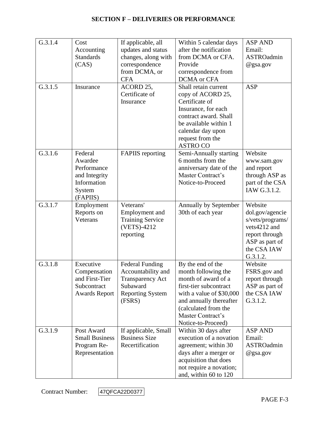| G.3.1.4 | Cost<br>Accounting<br><b>Standards</b><br>(CAS)                                         | If applicable, all<br>updates and status<br>changes, along with<br>correspondence<br>from DCMA, or<br><b>CFA</b>         | Within 5 calendar days<br>after the notification<br>from DCMA or CFA.<br>Provide<br>correspondence from<br>DCMA or CFA                                                                                              | <b>ASP AND</b><br>Email:<br>ASTROadmin<br>@gsa.gov                                                                            |
|---------|-----------------------------------------------------------------------------------------|--------------------------------------------------------------------------------------------------------------------------|---------------------------------------------------------------------------------------------------------------------------------------------------------------------------------------------------------------------|-------------------------------------------------------------------------------------------------------------------------------|
| G.3.1.5 | Insurance                                                                               | ACORD 25,<br>Certificate of<br>Insurance                                                                                 | Shall retain current<br>copy of ACORD 25,<br>Certificate of<br>Insurance, for each<br>contract award. Shall<br>be available within 1<br>calendar day upon<br>request from the<br><b>ASTRO CO</b>                    | <b>ASP</b>                                                                                                                    |
| G.3.1.6 | Federal<br>Awardee<br>Performance<br>and Integrity<br>Information<br>System<br>(FAPIIS) | <b>FAPIIS</b> reporting                                                                                                  | Semi-Annually starting<br>6 months from the<br>anniversary date of the<br>Master Contract's<br>Notice-to-Proceed                                                                                                    | Website<br>www.sam.gov<br>and report<br>through ASP as<br>part of the CSA<br>IAW G.3.1.2.                                     |
| G.3.1.7 | Employment<br>Reports on<br>Veterans                                                    | Veterans'<br>Employment and<br><b>Training Service</b><br>(VETS)-4212<br>reporting                                       | Annually by September<br>30th of each year                                                                                                                                                                          | Website<br>dol.gov/agencie<br>s/vets/programs/<br>vets4212 and<br>report through<br>ASP as part of<br>the CSA IAW<br>G.3.1.2. |
| G.3.1.8 | Executive<br>Compensation<br>and First-Tier<br>Subcontract<br><b>Awards Report</b>      | <b>Federal Funding</b><br>Accountability and<br><b>Transparency Act</b><br>Subaward<br><b>Reporting System</b><br>(FSRS) | By the end of the<br>month following the<br>month of award of a<br>first-tier subcontract<br>with a value of \$30,000<br>and annually thereafter<br>(calculated from the<br>Master Contract's<br>Notice-to-Proceed) | Website<br>FSRS.gov and<br>report through<br>ASP as part of<br>the CSA IAW<br>G.3.1.2.                                        |
| G.3.1.9 | Post Award<br><b>Small Business</b><br>Program Re-<br>Representation                    | If applicable, Small<br><b>Business Size</b><br>Recertification                                                          | Within 30 days after<br>execution of a novation<br>agreement; within 30<br>days after a merger or<br>acquisition that does<br>not require a novation;<br>and, within 60 to 120                                      | <b>ASP AND</b><br>Email:<br>ASTROadmin<br>@gsa.gov                                                                            |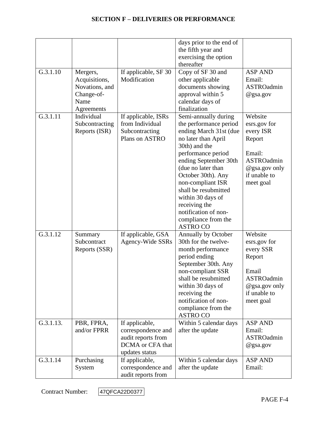|           |                                                                                 |                                                                                                  | days prior to the end of<br>the fifth year and<br>exercising the option<br>thereafter                                                                                                                                                                                                                                                                            |                                                                                                                            |
|-----------|---------------------------------------------------------------------------------|--------------------------------------------------------------------------------------------------|------------------------------------------------------------------------------------------------------------------------------------------------------------------------------------------------------------------------------------------------------------------------------------------------------------------------------------------------------------------|----------------------------------------------------------------------------------------------------------------------------|
| G.3.1.10  | Mergers,<br>Acquisitions,<br>Novations, and<br>Change-of-<br>Name<br>Agreements | If applicable, SF 30<br>Modification                                                             | Copy of SF 30 and<br>other applicable<br>documents showing<br>approval within 5<br>calendar days of<br>finalization                                                                                                                                                                                                                                              | <b>ASP AND</b><br>Email:<br>ASTROadmin<br>@gsa.gov                                                                         |
| G.3.1.11  | Individual<br>Subcontracting<br>Reports (ISR)                                   | If applicable, ISRs<br>from Individual<br>Subcontracting<br>Plans on ASTRO                       | Semi-annually during<br>the performance period<br>ending March 31st (due<br>no later than April<br>30th) and the<br>performance period<br>ending September 30th<br>(due no later than<br>October 30th). Any<br>non-compliant ISR<br>shall be resubmitted<br>within 30 days of<br>receiving the<br>notification of non-<br>compliance from the<br><b>ASTRO CO</b> | Website<br>esrs.gov for<br>every ISR<br>Report<br>Email:<br>ASTROadmin<br>@gsa.gov only<br>if unable to<br>meet goal       |
| G.3.1.12  | Summary<br>Subcontract<br>Reports (SSR)                                         | If applicable, GSA<br>Agency-Wide SSRs                                                           | Annually by October<br>30th for the twelve-<br>month performance<br>period ending<br>September 30th. Any<br>non-compliant SSR<br>shall be resubmitted<br>within 30 days of<br>receiving the<br>notification of non-<br>compliance from the<br><b>ASTRO CO</b>                                                                                                    | Website<br>esrs.gov for<br>every SSR<br>Report<br>Email<br><b>ASTROadmin</b><br>@gsa.gov only<br>if unable to<br>meet goal |
| G.3.1.13. | PBR, FPRA,<br>and/or FPRR                                                       | If applicable,<br>correspondence and<br>audit reports from<br>DCMA or CFA that<br>updates status | Within 5 calendar days<br>after the update                                                                                                                                                                                                                                                                                                                       | <b>ASP AND</b><br>Email:<br>ASTROadmin<br>@gsa.gov                                                                         |
| G.3.1.14  | Purchasing<br>System                                                            | If applicable,<br>correspondence and<br>audit reports from                                       | Within 5 calendar days<br>after the update                                                                                                                                                                                                                                                                                                                       | <b>ASP AND</b><br>Email:                                                                                                   |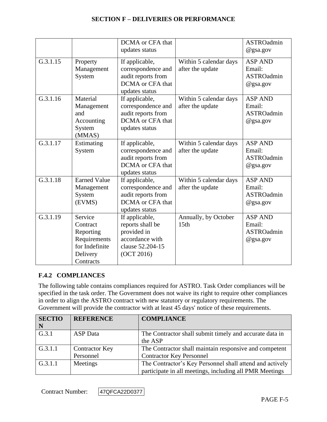|          |                                                                                             | DCMA or CFA that<br>updates status                                                                     |                                            | <b>ASTROadmin</b><br>$@$ gsa.gov                             |
|----------|---------------------------------------------------------------------------------------------|--------------------------------------------------------------------------------------------------------|--------------------------------------------|--------------------------------------------------------------|
| G.3.1.15 | Property<br>Management<br>System                                                            | If applicable,<br>correspondence and<br>audit reports from<br>DCMA or CFA that<br>updates status       | Within 5 calendar days<br>after the update | <b>ASP AND</b><br>Email:<br><b>ASTROadmin</b><br>@gsa.gov    |
| G.3.1.16 | Material<br>Management<br>and<br>Accounting<br>System<br>(MMAS)                             | If applicable,<br>correspondence and<br>audit reports from<br>DCMA or CFA that<br>updates status       | Within 5 calendar days<br>after the update | <b>ASP AND</b><br>Email:<br><b>ASTROadmin</b><br>@gsa.gov    |
| G.3.1.17 | Estimating<br>System                                                                        | If applicable,<br>correspondence and<br>audit reports from<br>DCMA or CFA that<br>updates status       | Within 5 calendar days<br>after the update | <b>ASP AND</b><br>Email:<br><b>ASTROadmin</b><br>$@$ gsa.gov |
| G.3.1.18 | <b>Earned Value</b><br>Management<br>System<br>(EVMS)                                       | If applicable,<br>correspondence and<br>audit reports from<br>DCMA or CFA that<br>updates status       | Within 5 calendar days<br>after the update | <b>ASP AND</b><br>Email:<br><b>ASTROadmin</b><br>$@$ gsa.gov |
| G.3.1.19 | Service<br>Contract<br>Reporting<br>Requirements<br>for Indefinite<br>Delivery<br>Contracts | If applicable,<br>reports shall be<br>provided in<br>accordance with<br>clause 52.204-15<br>(OCT 2016) | Annually, by October<br>15th               | <b>ASP AND</b><br>Email:<br><b>ASTROadmin</b><br>@gsa.gov    |

#### **F.4.2 COMPLIANCES**

The following table contains compliances required for ASTRO. Task Order compliances will be specified in the task order. The Government does not waive its right to require other compliances in order to align the ASTRO contract with new statutory or regulatory requirements. The Government will provide the contractor with at least 45 days' notice of these requirements.

| <b>SECTIO</b>            | <b>REFERENCE</b>      | <b>COMPLIANCE</b>                                        |
|--------------------------|-----------------------|----------------------------------------------------------|
| $\overline{\phantom{a}}$ |                       |                                                          |
| G.3.1                    | <b>ASP</b> Data       | The Contractor shall submit timely and accurate data in  |
|                          |                       | the ASP                                                  |
| G.3.1.1                  | <b>Contractor Key</b> | The Contractor shall maintain responsive and competent   |
|                          | Personnel             | <b>Contractor Key Personnel</b>                          |
| G.3.1.1                  | Meetings              | The Contractor's Key Personnel shall attend and actively |
|                          |                       | participate in all meetings, including all PMR Meetings  |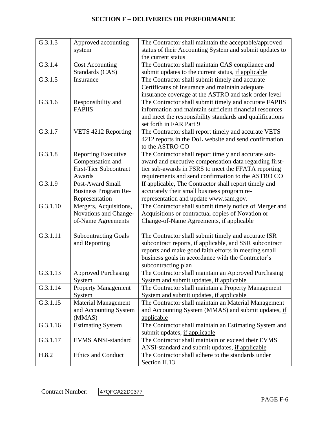| G.3.1.3  | Approved accounting           | The Contractor shall maintain the acceptable/approved    |
|----------|-------------------------------|----------------------------------------------------------|
|          | system                        | status of their Accounting System and submit updates to  |
|          |                               | the current status                                       |
| G.3.1.4  | <b>Cost Accounting</b>        | The Contractor shall maintain CAS compliance and         |
|          | Standards (CAS)               | submit updates to the current status, if applicable      |
| G.3.1.5  | Insurance                     | The Contractor shall submit timely and accurate          |
|          |                               | Certificates of Insurance and maintain adequate          |
|          |                               | insurance coverage at the ASTRO and task order level     |
| G.3.1.6  | Responsibility and            | The Contractor shall submit timely and accurate FAPIIS   |
|          | <b>FAPIIS</b>                 | information and maintain sufficient financial resources  |
|          |                               | and meet the responsibility standards and qualifications |
|          |                               | set forth in FAR Part 9                                  |
| G.3.1.7  | VETS 4212 Reporting           | The Contractor shall report timely and accurate VETS     |
|          |                               | 4212 reports in the DoL website and send confirmation    |
|          |                               | to the ASTRO CO                                          |
| G.3.1.8  | Reporting Executive           | The Contractor shall report timely and accurate sub-     |
|          | Compensation and              | award and executive compensation data regarding first-   |
|          | <b>First-Tier Subcontract</b> | tier sub-awards in FSRS to meet the FFATA reporting      |
|          | Awards                        | requirements and send confirmation to the ASTRO CO       |
| G.3.1.9  | Post-Award Small              | If applicable, The Contractor shall report timely and    |
|          | <b>Business Program Re-</b>   | accurately their small business program re-              |
|          | Representation                | representation and update www.sam.gov.                   |
| G.3.1.10 | Mergers, Acquisitions,        | The Contractor shall submit timely notice of Merger and  |
|          | Novations and Change-         | Acquisitions or contractual copies of Novation or        |
|          | of-Name Agreements            | Change-of-Name Agreements, if applicable                 |
|          |                               |                                                          |
| G.3.1.11 | <b>Subcontracting Goals</b>   | The Contractor shall submit timely and accurate ISR      |
|          | and Reporting                 | subcontract reports, if applicable, and SSR subcontract  |
|          |                               | reports and make good faith efforts in meeting small     |
|          |                               | business goals in accordance with the Contractor's       |
|          |                               | subcontracting plan                                      |
| G.3.1.13 | <b>Approved Purchasing</b>    | The Contractor shall maintain an Approved Purchasing     |
|          | System                        | System and submit updates, if applicable                 |
| G.3.1.14 | <b>Property Management</b>    | The Contractor shall maintain a Property Management      |
|          | System                        | System and submit updates, if applicable                 |
| G.3.1.15 | <b>Material Management</b>    | The Contractor shall maintain an Material Management     |
|          | and Accounting System         | and Accounting System (MMAS) and submit updates, if      |
|          | (MMAS)                        | applicable                                               |
| G.3.1.16 | <b>Estimating System</b>      | The Contractor shall maintain an Estimating System and   |
|          |                               | submit updates, if applicable                            |
| G.3.1.17 | <b>EVMS ANSI-standard</b>     | The Contractor shall maintain or exceed their EVMS       |
|          |                               | ANSI-standard and submit updates, if applicable          |
| H.8.2    | Ethics and Conduct            | The Contractor shall adhere to the standards under       |
|          |                               | Section H.13                                             |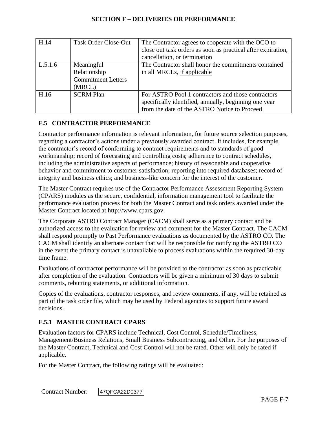| H.14    | <b>Task Order Close-Out</b>                                       | The Contractor agrees to cooperate with the OCO to<br>close out task orders as soon as practical after expiration,<br>cancellation, or termination          |
|---------|-------------------------------------------------------------------|-------------------------------------------------------------------------------------------------------------------------------------------------------------|
| L.5.1.6 | Meaningful<br>Relationship<br><b>Commitment Letters</b><br>(MRCL) | The Contractor shall honor the commitments contained<br>in all MRCLs, if applicable                                                                         |
| H.16    | <b>SCRM Plan</b>                                                  | For ASTRO Pool 1 contractors and those contractors<br>specifically identified, annually, beginning one year<br>from the date of the ASTRO Notice to Proceed |

## **F.5 CONTRACTOR PERFORMANCE**

Contractor performance information is relevant information, for future source selection purposes, regarding a contractor's actions under a previously awarded contract. It includes, for example, the contractor's record of conforming to contract requirements and to standards of good workmanship; record of forecasting and controlling costs; adherence to contract schedules, including the administrative aspects of performance; history of reasonable and cooperative behavior and commitment to customer satisfaction; reporting into required databases; record of integrity and business ethics; and business-like concern for the interest of the customer.

The Master Contract requires use of the Contractor Performance Assessment Reporting System (CPARS) modules as the secure, confidential, information management tool to facilitate the performance evaluation process for both the Master Contract and task orders awarded under the Master Contract located at http://www.cpars.gov.

The Corporate ASTRO Contract Manager (CACM) shall serve as a primary contact and be authorized access to the evaluation for review and comment for the Master Contract. The CACM shall respond promptly to Past Performance evaluations as documented by the ASTRO CO. The CACM shall identify an alternate contact that will be responsible for notifying the ASTRO CO in the event the primary contact is unavailable to process evaluations within the required 30-day time frame.

Evaluations of contractor performance will be provided to the contractor as soon as practicable after completion of the evaluation. Contractors will be given a minimum of 30 days to submit comments, rebutting statements, or additional information.

Copies of the evaluations, contractor responses, and review comments, if any, will be retained as part of the task order file, which may be used by Federal agencies to support future award decisions.

#### **F.5.1 MASTER CONTRACT CPARS**

Evaluation factors for CPARS include Technical, Cost Control, Schedule/Timeliness, Management/Business Relations, Small Business Subcontracting, and Other. For the purposes of the Master Contract, Technical and Cost Control will not be rated. Other will only be rated if applicable.

For the Master Contract, the following ratings will be evaluated: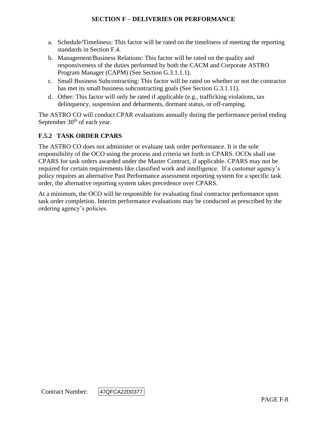- a. Schedule/Timeliness: This factor will be rated on the timeliness of meeting the reporting standards in Section F.4.
- b. Management/Business Relations: This factor will be rated on the quality and responsiveness of the duties performed by both the CACM and Corporate ASTRO Program Manager (CAPM) (See Section G.3.1.1.1).
- c. Small Business Subcontracting: This factor will be rated on whether or not the contractor has met its small business subcontracting goals (See Section G.3.1.11).
- d. Other: This factor will only be rated if applicable (e.g., trafficking violations, tax delinquency, suspension and debarments, dormant status, or off-ramping.

The ASTRO CO will conduct CPAR evaluations annually during the performance period ending September  $30<sup>th</sup>$  of each year.

## **F.5.2 TASK ORDER CPARS**

The ASTRO CO does not administer or evaluate task order performance. It is the sole responsibility of the OCO using the process and criteria set forth in CPARS. OCOs shall use CPARS for task orders awarded under the Master Contract, if applicable. CPARS may not be required for certain requirements like classified work and intelligence. If a customer agency's policy requires an alternative Past Performance assessment reporting system for a specific task order, the alternative reporting system takes precedence over CPARS.

At a minimum, the OCO will be responsible for evaluating final contractor performance upon task order completion. Interim performance evaluations may be conducted as prescribed by the ordering agency's policies.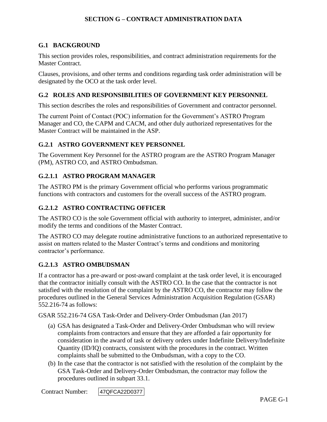#### **G.1 BACKGROUND**

This section provides roles, responsibilities, and contract administration requirements for the Master Contract.

Clauses, provisions, and other terms and conditions regarding task order administration will be designated by the OCO at the task order level.

#### **G.2 ROLES AND RESPONSIBILITIES OF GOVERNMENT KEY PERSONNEL**

This section describes the roles and responsibilities of Government and contractor personnel.

The current Point of Contact (POC) information for the Government's ASTRO Program Manager and CO, the CAPM and CACM, and other duly authorized representatives for the Master Contract will be maintained in the ASP.

#### **G.2.1 ASTRO GOVERNMENT KEY PERSONNEL**

The Government Key Personnel for the ASTRO program are the ASTRO Program Manager (PM), ASTRO CO, and ASTRO Ombudsman.

#### **G.2.1.1 ASTRO PROGRAM MANAGER**

The ASTRO PM is the primary Government official who performs various programmatic functions with contractors and customers for the overall success of the ASTRO program.

#### **G.2.1.2 ASTRO CONTRACTING OFFICER**

The ASTRO CO is the sole Government official with authority to interpret, administer, and/or modify the terms and conditions of the Master Contract.

The ASTRO CO may delegate routine administrative functions to an authorized representative to assist on matters related to the Master Contract's terms and conditions and monitoring contractor's performance.

#### **G.2.1.3 ASTRO OMBUDSMAN**

If a contractor has a pre-award or post-award complaint at the task order level, it is encouraged that the contractor initially consult with the ASTRO CO. In the case that the contractor is not satisfied with the resolution of the complaint by the ASTRO CO, the contractor may follow the procedures outlined in the General Services Administration Acquisition Regulation (GSAR) 552.216-74 as follows:

GSAR 552.216-74 GSA Task-Order and Delivery-Order Ombudsman (Jan 2017)

- (a) GSA has designated a Task-Order and Delivery-Order Ombudsman who will review complaints from contractors and ensure that they are afforded a fair opportunity for consideration in the award of task or delivery orders under Indefinite Delivery/Indefinite Quantity (ID/IQ) contracts, consistent with the procedures in the contract. Written complaints shall be submitted to the Ombudsman, with a copy to the CO.
- (b) In the case that the contractor is not satisfied with the resolution of the complaint by the GSA Task-Order and Delivery-Order Ombudsman, the contractor may follow the procedures outlined in subpart 33.1.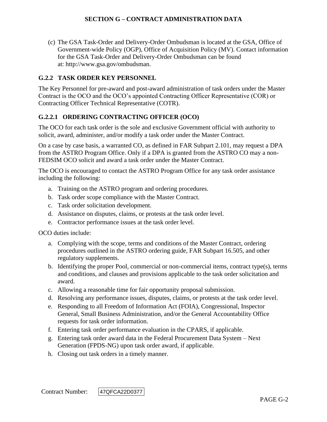(c) The GSA Task-Order and Delivery-Order Ombudsman is located at the GSA, Office of Government-wide Policy (OGP), Office of Acquisition Policy (MV). Contact information for the GSA Task-Order and Delivery-Order Ombudsman can be found at: http://www.gsa.gov/ombudsman.

## **G.2.2 TASK ORDER KEY PERSONNEL**

The Key Personnel for pre-award and post-award administration of task orders under the Master Contract is the OCO and the OCO's appointed Contracting Officer Representative (COR) or Contracting Officer Technical Representative (COTR).

## **G.2.2.1 ORDERING CONTRACTING OFFICER (OCO)**

The OCO for each task order is the sole and exclusive Government official with authority to solicit, award, administer, and/or modify a task order under the Master Contract.

On a case by case basis, a warranted CO, as defined in FAR Subpart 2.101, may request a DPA from the ASTRO Program Office. Only if a DPA is granted from the ASTRO CO may a non-FEDSIM OCO solicit and award a task order under the Master Contract.

The OCO is encouraged to contact the ASTRO Program Office for any task order assistance including the following:

- a. Training on the ASTRO program and ordering procedures.
- b. Task order scope compliance with the Master Contract.
- c. Task order solicitation development.
- d. Assistance on disputes, claims, or protests at the task order level.
- e. Contractor performance issues at the task order level.

OCO duties include:

- a. Complying with the scope, terms and conditions of the Master Contract, ordering procedures outlined in the ASTRO ordering guide, FAR Subpart 16.505, and other regulatory supplements.
- b. Identifying the proper Pool, commercial or non-commercial items, contract type(s), terms and conditions, and clauses and provisions applicable to the task order solicitation and award.
- c. Allowing a reasonable time for fair opportunity proposal submission.
- d. Resolving any performance issues, disputes, claims, or protests at the task order level.
- e. Responding to all Freedom of Information Act (FOIA), Congressional, Inspector General, Small Business Administration, and/or the General Accountability Office requests for task order information.
- f. Entering task order performance evaluation in the CPARS, if applicable.
- g. Entering task order award data in the Federal Procurement Data System Next Generation (FPDS-NG) upon task order award, if applicable.
- h. Closing out task orders in a timely manner.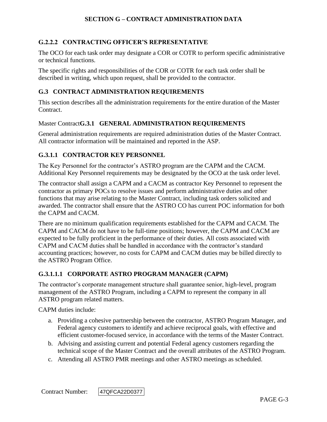## **G.2.2.2 CONTRACTING OFFICER'S REPRESENTATIVE**

The OCO for each task order may designate a COR or COTR to perform specific administrative or technical functions.

The specific rights and responsibilities of the COR or COTR for each task order shall be described in writing, which upon request, shall be provided to the contractor.

#### **G.3 CONTRACT ADMINISTRATION REQUIREMENTS**

This section describes all the administration requirements for the entire duration of the Master Contract.

#### Master Contract**G.3.1 GENERAL ADMINISTRATION REQUIREMENTS**

General administration requirements are required administration duties of the Master Contract. All contractor information will be maintained and reported in the ASP.

#### **G.3.1.1 CONTRACTOR KEY PERSONNEL**

The Key Personnel for the contractor's ASTRO program are the CAPM and the CACM. Additional Key Personnel requirements may be designated by the OCO at the task order level.

The contractor shall assign a CAPM and a CACM as contractor Key Personnel to represent the contractor as primary POCs to resolve issues and perform administrative duties and other functions that may arise relating to the Master Contract, including task orders solicited and awarded. The contractor shall ensure that the ASTRO CO has current POC information for both the CAPM and CACM.

There are no minimum qualification requirements established for the CAPM and CACM. The CAPM and CACM do not have to be full-time positions; however, the CAPM and CACM are expected to be fully proficient in the performance of their duties. All costs associated with CAPM and CACM duties shall be handled in accordance with the contractor's standard accounting practices; however, no costs for CAPM and CACM duties may be billed directly to the ASTRO Program Office.

#### **G.3.1.1.1 CORPORATE ASTRO PROGRAM MANAGER (CAPM)**

The contractor's corporate management structure shall guarantee senior, high-level, program management of the ASTRO Program, including a CAPM to represent the company in all ASTRO program related matters.

CAPM duties include:

- a. Providing a cohesive partnership between the contractor, ASTRO Program Manager, and Federal agency customers to identify and achieve reciprocal goals, with effective and efficient customer-focused service, in accordance with the terms of the Master Contract.
- b. Advising and assisting current and potential Federal agency customers regarding the technical scope of the Master Contract and the overall attributes of the ASTRO Program.
- c. Attending all ASTRO PMR meetings and other ASTRO meetings as scheduled.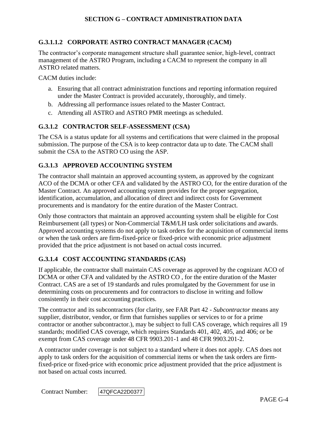## **G.3.1.1.2 CORPORATE ASTRO CONTRACT MANAGER (CACM)**

The contractor's corporate management structure shall guarantee senior, high-level, contract management of the ASTRO Program, including a CACM to represent the company in all ASTRO related matters.

CACM duties include:

- a. Ensuring that all contract administration functions and reporting information required under the Master Contract is provided accurately, thoroughly, and timely.
- b. Addressing all performance issues related to the Master Contract.
- c. Attending all ASTRO and ASTRO PMR meetings as scheduled.

#### **G.3.1.2 CONTRACTOR SELF-ASSESSMENT (CSA)**

The CSA is a status update for all systems and certifications that were claimed in the proposal submission. The purpose of the CSA is to keep contractor data up to date. The CACM shall submit the CSA to the ASTRO CO using the ASP.

#### **G.3.1.3 APPROVED ACCOUNTING SYSTEM**

The contractor shall maintain an approved accounting system, as approved by the cognizant ACO of the DCMA or other CFA and validated by the ASTRO CO, for the entire duration of the Master Contract. An approved accounting system provides for the proper segregation, identification, accumulation, and allocation of direct and indirect costs for Government procurements and is mandatory for the entire duration of the Master Contract.

Only those contractors that maintain an approved accounting system shall be eligible for Cost Reimbursement (all types) or Non-Commercial T&M/LH task order solicitations and awards. Approved accounting systems do not apply to task orders for the acquisition of commercial items or when the task orders are firm-fixed-price or fixed-price with economic price adjustment provided that the price adjustment is not based on actual costs incurred.

#### **G.3.1.4 COST ACCOUNTING STANDARDS (CAS)**

If applicable, the contractor shall maintain CAS coverage as approved by the cognizant ACO of DCMA or other CFA and validated by the ASTRO CO , for the entire duration of the Master Contract. CAS are a set of 19 standards and rules promulgated by the Government for use in determining costs on procurements and for contractors to disclose in writing and follow consistently in their cost accounting practices.

The contractor and its subcontractors (for clarity, see FAR Part 42 - *Subcontractor* means any supplier, distributor, vendor, or firm that furnishes supplies or services to or for a prime contractor or another subcontractor.), may be subject to full CAS coverage, which requires all 19 standards; modified CAS coverage, which requires Standards 401, 402, 405, and 406; or be exempt from CAS coverage under 48 CFR 9903.201-1 and 48 CFR 9903.201-2.

A contractor under coverage is not subject to a standard where it does not apply. CAS does not apply to task orders for the acquisition of commercial items or when the task orders are firmfixed-price or fixed-price with economic price adjustment provided that the price adjustment is not based on actual costs incurred.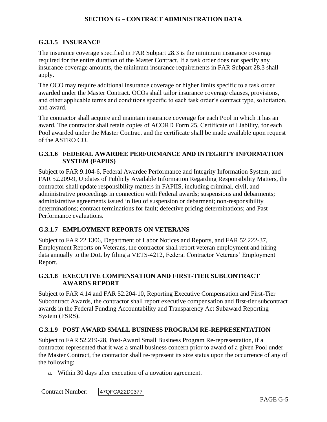## **G.3.1.5 INSURANCE**

The insurance coverage specified in FAR Subpart 28.3 is the minimum insurance coverage required for the entire duration of the Master Contract. If a task order does not specify any insurance coverage amounts, the minimum insurance requirements in FAR Subpart 28.3 shall apply.

The OCO may require additional insurance coverage or higher limits specific to a task order awarded under the Master Contract. OCOs shall tailor insurance coverage clauses, provisions, and other applicable terms and conditions specific to each task order's contract type, solicitation, and award.

The contractor shall acquire and maintain insurance coverage for each Pool in which it has an award. The contractor shall retain copies of ACORD Form 25, Certificate of Liability, for each Pool awarded under the Master Contract and the certificate shall be made available upon request of the ASTRO CO.

## **G.3.1.6 FEDERAL AWARDEE PERFORMANCE AND INTEGRITY INFORMATION SYSTEM (FAPIIS)**

Subject to FAR 9.104-6, Federal Awardee Performance and Integrity Information System, and FAR 52.209-9, Updates of Publicly Available Information Regarding Responsibility Matters, the contractor shall update responsibility matters in FAPIIS, including criminal, civil, and administrative proceedings in connection with Federal awards; suspensions and debarments; administrative agreements issued in lieu of suspension or debarment; non-responsibility determinations; contract terminations for fault; defective pricing determinations; and Past Performance evaluations.

## **G.3.1.7 EMPLOYMENT REPORTS ON VETERANS**

Subject to FAR 22.1306, Department of Labor Notices and Reports, and FAR 52.222-37, Employment Reports on Veterans, the contractor shall report veteran employment and hiring data annually to the DoL by filing a VETS-4212, Federal Contractor Veterans' Employment Report.

### **G.3.1.8 EXECUTIVE COMPENSATION AND FIRST-TIER SUBCONTRACT AWARDS REPORT**

Subject to FAR 4.14 and FAR 52.204-10, Reporting Executive Compensation and First-Tier Subcontract Awards, the contractor shall report executive compensation and first-tier subcontract awards in the Federal Funding Accountability and Transparency Act Subaward Reporting System (FSRS).

## **G.3.1.9 POST AWARD SMALL BUSINESS PROGRAM RE-REPRESENTATION**

Subject to FAR 52.219-28, Post-Award Small Business Program Re-representation, if a contractor represented that it was a small business concern prior to award of a given Pool under the Master Contract, the contractor shall re-represent its size status upon the occurrence of any of the following:

a. Within 30 days after execution of a novation agreement.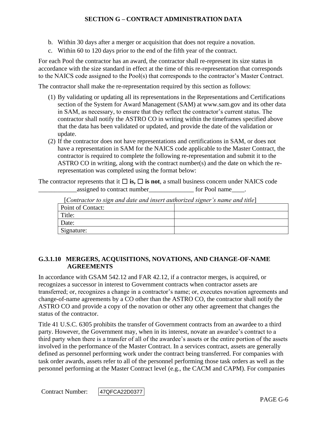- b. Within 30 days after a merger or acquisition that does not require a novation.
- c. Within 60 to 120 days prior to the end of the fifth year of the contract.

For each Pool the contractor has an award, the contractor shall re-represent its size status in accordance with the size standard in effect at the time of this re-representation that corresponds to the NAICS code assigned to the Pool(s) that corresponds to the contractor's Master Contract.

The contractor shall make the re-representation required by this section as follows:

- (1) By validating or updating all its representations in the Representations and Certifications section of the System for Award Management (SAM) at www.sam.gov and its other data in SAM, as necessary, to ensure that they reflect the contractor's current status. The contractor shall notify the ASTRO CO in writing within the timeframes specified above that the data has been validated or updated, and provide the date of the validation or update.
- (2) If the contractor does not have representations and certifications in SAM, or does not have a representation in SAM for the NAICS code applicable to the Master Contract, the contractor is required to complete the following re-representation and submit it to the ASTRO CO in writing, along with the contract number(s) and the date on which the rerepresentation was completed using the format below:

The contractor represents that it  $\Box$  **is,**  $\Box$  **is not**, a small business concern under NAICS code assigned to contract number<br>
<u>equals</u> for Pool name

| $\lceil$ Contractor to sign and date and insert dumorized signer s name and title $\lceil$ |  |
|--------------------------------------------------------------------------------------------|--|
| Point of Contact:                                                                          |  |
| Title:                                                                                     |  |
| Date:                                                                                      |  |
| Signature:                                                                                 |  |

[*Contractor to sign and date and insert authorized signer's name and title*]

## **G.3.1.10 MERGERS, ACQUISITIONS, NOVATIONS, AND CHANGE-OF-NAME AGREEMENTS**

In accordance with GSAM 542.12 and FAR 42.12, if a contractor merges, is acquired, or recognizes a successor in interest to Government contracts when contractor assets are transferred; or, recognizes a change in a contractor's name; or, executes novation agreements and change-of-name agreements by a CO other than the ASTRO CO, the contractor shall notify the ASTRO CO and provide a copy of the novation or other any other agreement that changes the status of the contractor.

Title 41 U.S.C. 6305 prohibits the transfer of Government contracts from an awardee to a third party. However, the Government may, when in its interest, novate an awardee's contract to a third party when there is a transfer of all of the awardee's assets or the entire portion of the assets involved in the performance of the Master Contract. In a services contract, assets are generally defined as personnel performing work under the contract being transferred. For companies with task order awards, assets refer to all of the personnel performing those task orders as well as the personnel performing at the Master Contract level (e.g., the CACM and CAPM). For companies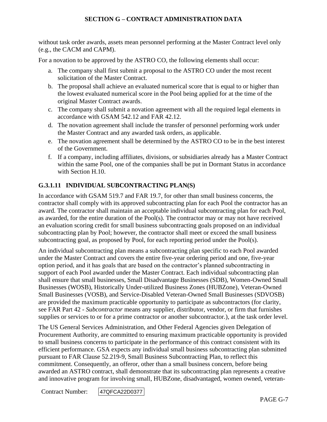without task order awards, assets mean personnel performing at the Master Contract level only (e.g., the CACM and CAPM).

For a novation to be approved by the ASTRO CO, the following elements shall occur:

- a. The company shall first submit a proposal to the ASTRO CO under the most recent solicitation of the Master Contract.
- b. The proposal shall achieve an evaluated numerical score that is equal to or higher than the lowest evaluated numerical score in the Pool being applied for at the time of the original Master Contract awards.
- c. The company shall submit a novation agreement with all the required legal elements in accordance with GSAM 542.12 and FAR 42.12.
- d. The novation agreement shall include the transfer of personnel performing work under the Master Contract and any awarded task orders, as applicable.
- e. The novation agreement shall be determined by the ASTRO CO to be in the best interest of the Government.
- f. If a company, including affiliates, divisions, or subsidiaries already has a Master Contract within the same Pool, one of the companies shall be put in Dormant Status in accordance with Section H.10.

## **G.3.1.11 INDIVIDUAL SUBCONTRACTING PLAN(S)**

In accordance with GSAM 519.7 and FAR 19.7, for other than small business concerns, the contractor shall comply with its approved subcontracting plan for each Pool the contractor has an award. The contractor shall maintain an acceptable individual subcontracting plan for each Pool, as awarded, for the entire duration of the Pool(s). The contractor may or may not have received an evaluation scoring credit for small business subcontracting goals proposed on an individual subcontracting plan by Pool; however, the contractor shall meet or exceed the small business subcontracting goal, as proposed by Pool, for each reporting period under the Pool(s).

An individual subcontracting plan means a subcontracting plan specific to each Pool awarded under the Master Contract and covers the entire five-year ordering period and one, five-year option period, and it has goals that are based on the contractor's planned subcontracting in support of each Pool awarded under the Master Contract. Each individual subcontracting plan shall ensure that small businesses, Small Disadvantage Businesses (SDB), Women-Owned Small Businesses (WOSB), Historically Under-utilized Business Zones (HUBZone), Veteran-Owned Small Businesses (VOSB), and Service-Disabled Veteran-Owned Small Businesses (SDVOSB) are provided the maximum practicable opportunity to participate as subcontractors (for clarity, see FAR Part 42 - *Subcontractor* means any supplier, distributor, vendor, or firm that furnishes supplies or services to or for a prime contractor or another subcontractor.), at the task order level.

The US General Services Administration, and Other Federal Agencies given Delegation of Procurement Authority, are committed to ensuring maximum practicable opportunity is provided to small business concerns to participate in the performance of this contract consistent with its efficient performance. GSA expects any individual small business subcontracting plan submitted pursuant to FAR Clause 52.219-9, Small Business Subcontracting Plan, to reflect this commitment. Consequently, an offeror, other than a small business concern, before being awarded an ASTRO contract, shall demonstrate that its subcontracting plan represents a creative and innovative program for involving small, HUBZone, disadvantaged, women owned, veteran-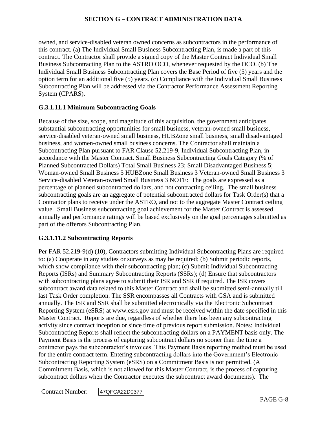owned, and service-disabled veteran owned concerns as subcontractors in the performance of this contract. (a) The Individual Small Business Subcontracting Plan, is made a part of this contract. The Contractor shall provide a signed copy of the Master Contract Individual Small Business Subcontracting Plan to the ASTRO OCO, whenever requested by the OCO. (b) The Individual Small Business Subcontracting Plan covers the Base Period of five (5) years and the option term for an additional five (5) years. (c) Compliance with the Individual Small Business Subcontracting Plan will be addressed via the Contractor Performance Assessment Reporting System (CPARS).

## **G.3.1.11.1 Minimum Subcontracting Goals**

Because of the size, scope, and magnitude of this acquisition, the government anticipates substantial subcontracting opportunities for small business, veteran-owned small business, service-disabled veteran-owned small business, HUBZone small business, small disadvantaged business, and women-owned small business concerns. The Contractor shall maintain a Subcontracting Plan pursuant to FAR Clause 52.219-9, Individual Subcontracting Plan, in accordance with the Master Contract. Small Business Subcontracting Goals Category (% of Planned Subcontracted Dollars) Total Small Business 23; Small Disadvantaged Business 5; Woman-owned Small Business 5 HUBZone Small Business 3 Veteran-owned Small Business 3 Service-disabled Veteran-owned Small Business 3 NOTE: The goals are expressed as a percentage of planned subcontracted dollars, and not contracting ceiling. The small business subcontracting goals are an aggregate of potential subcontracted dollars for Task Order(s) that a Contractor plans to receive under the ASTRO, and not to the aggregate Master Contract ceiling value. Small Business subcontracting goal achievement for the Master Contract is assessed annually and performance ratings will be based exclusively on the goal percentages submitted as part of the offerors Subcontracting Plan.

#### **G.3.1.11.2 Subcontracting Reports**

Per FAR 52.219-9(d) (10), Contractors submitting Individual Subcontracting Plans are required to: (a) Cooperate in any studies or surveys as may be required; (b) Submit periodic reports, which show compliance with their subcontracting plan; (c) Submit Individual Subcontracting Reports (ISRs) and Summary Subcontracting Reports (SSRs); (d) Ensure that subcontractors with subcontracting plans agree to submit their ISR and SSR if required. The ISR covers subcontract award data related to this Master Contract and shall be submitted semi-annually till last Task Order completion. The SSR encompasses all Contracts with GSA and is submitted annually. The ISR and SSR shall be submitted electronically via the Electronic Subcontract Reporting System (eSRS) at www.esrs.gov and must be received within the date specified in this Master Contract. Reports are due, regardless of whether there has been any subcontracting activity since contract inception or since time of previous report submission. Notes: Individual Subcontracting Reports shall reflect the subcontracting dollars on a PAYMENT basis only. The Payment Basis is the process of capturing subcontract dollars no sooner than the time a contractor pays the subcontractor's invoices. This Payment Basis reporting method must be used for the entire contract term. Entering subcontracting dollars into the Government's Electronic Subcontracting Reporting System (eSRS) on a Commitment Basis is not permitted. (A Commitment Basis, which is not allowed for this Master Contract, is the process of capturing subcontract dollars when the Contractor executes the subcontract award documents). The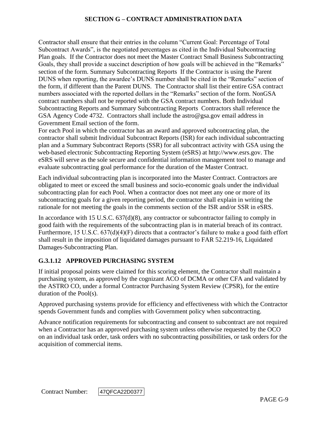Contractor shall ensure that their entries in the column "Current Goal: Percentage of Total Subcontract Awards", is the negotiated percentages as cited in the Individual Subcontracting Plan goals. If the Contractor does not meet the Master Contract Small Business Subcontracting Goals, they shall provide a succinct description of how goals will be achieved in the "Remarks" section of the form. Summary Subcontracting Reports If the Contractor is using the Parent DUNS when reporting, the awardee's DUNS number shall be cited in the "Remarks" section of the form, if different than the Parent DUNS. The Contractor shall list their entire GSA contract numbers associated with the reported dollars in the "Remarks" section of the form. NonGSA contract numbers shall not be reported with the GSA contract numbers. Both Individual Subcontracting Reports and Summary Subcontracting Reports Contractors shall reference the GSA Agency Code 4732. Contractors shall include the astro@gsa.gov email address in Government Email section of the form.

For each Pool in which the contractor has an award and approved subcontracting plan, the contractor shall submit Individual Subcontract Reports (ISR) for each individual subcontracting plan and a Summary Subcontract Reports (SSR) for all subcontract activity with GSA using the web-based electronic Subcontracting Reporting System (eSRS) at http://www.esrs.gov*.* The eSRS will serve as the sole secure and confidential information management tool to manage and evaluate subcontracting goal performance for the duration of the Master Contract.

Each individual subcontracting plan is incorporated into the Master Contract. Contractors are obligated to meet or exceed the small business and socio-economic goals under the individual subcontracting plan for each Pool. When a contractor does not meet any one or more of its subcontracting goals for a given reporting period, the contractor shall explain in writing the rationale for not meeting the goals in the comments section of the ISR and/or SSR in eSRS.

In accordance with 15 U.S.C. 637(d)(8), any contractor or subcontractor failing to comply in good faith with the requirements of the subcontracting plan is in material breach of its contract. Furthermore, 15 U.S.C. 637(d)(4)(F) directs that a contractor's failure to make a good faith effort shall result in the imposition of liquidated damages pursuant to FAR 52.219-16, Liquidated Damages-Subcontracting Plan.

## **G.3.1.12 APPROVED PURCHASING SYSTEM**

If initial proposal points were claimed for this scoring element, the Contractor shall maintain a purchasing system, as approved by the cognizant ACO of DCMA or other CFA and validated by the ASTRO CO, under a formal Contractor Purchasing System Review (CPSR), for the entire duration of the Pool(s).

Approved purchasing systems provide for efficiency and effectiveness with which the Contractor spends Government funds and complies with Government policy when subcontracting.

Advance notification requirements for subcontracting and consent to subcontract are not required when a Contractor has an approved purchasing system unless otherwise requested by the OCO on an individual task order, task orders with no subcontracting possibilities, or task orders for the acquisition of commercial items.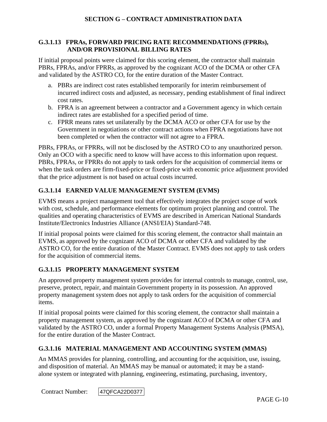### **G.3.1.13 FPRAs, FORWARD PRICING RATE RECOMMENDATIONS (FPRRs), AND/OR PROVISIONAL BILLING RATES**

If initial proposal points were claimed for this scoring element, the contractor shall maintain PBRs, FPRAs, and/or FPRRs, as approved by the cognizant ACO of the DCMA or other CFA and validated by the ASTRO CO, for the entire duration of the Master Contract.

- a. PBRs are indirect cost rates established temporarily for interim reimbursement of incurred indirect costs and adjusted, as necessary, pending establishment of final indirect cost rates.
- b. FPRA is an agreement between a contractor and a Government agency in which certain indirect rates are established for a specified period of time.
- c. FPRR means rates set unilaterally by the DCMA ACO or other CFA for use by the Government in negotiations or other contract actions when FPRA negotiations have not been completed or when the contractor will not agree to a FPRA.

PBRs, FPRAs, or FPRRs, will not be disclosed by the ASTRO CO to any unauthorized person. Only an OCO with a specific need to know will have access to this information upon request. PBRs, FPRAs, or FPRRs do not apply to task orders for the acquisition of commercial items or when the task orders are firm-fixed-price or fixed-price with economic price adjustment provided that the price adjustment is not based on actual costs incurred.

# **G.3.1.14 EARNED VALUE MANAGEMENT SYSTEM (EVMS)**

EVMS means a project management tool that effectively integrates the project scope of work with cost, schedule, and performance elements for optimum project planning and control. The qualities and operating characteristics of EVMS are described in American National Standards Institute/Electronics Industries Alliance (ANSI/EIA) Standard-748.

If initial proposal points were claimed for this scoring element, the contractor shall maintain an EVMS, as approved by the cognizant ACO of DCMA or other CFA and validated by the ASTRO CO, for the entire duration of the Master Contract. EVMS does not apply to task orders for the acquisition of commercial items.

# **G.3.1.15 PROPERTY MANAGEMENT SYSTEM**

An approved property management system provides for internal controls to manage, control, use, preserve, protect, repair, and maintain Government property in its possession. An approved property management system does not apply to task orders for the acquisition of commercial items.

If initial proposal points were claimed for this scoring element, the contractor shall maintain a property management system, as approved by the cognizant ACO of DCMA or other CFA and validated by the ASTRO CO, under a formal Property Management Systems Analysis (PMSA), for the entire duration of the Master Contract.

# **G.3.1.16 MATERIAL MANAGEMENT AND ACCOUNTING SYSTEM (MMAS)**

An MMAS provides for planning, controlling, and accounting for the acquisition, use, issuing, and disposition of material. An MMAS may be manual or automated; it may be a standalone system or integrated with planning, engineering, estimating, purchasing, inventory,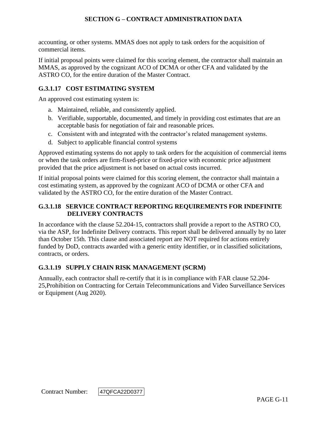accounting, or other systems. MMAS does not apply to task orders for the acquisition of commercial items.

If initial proposal points were claimed for this scoring element, the contractor shall maintain an MMAS, as approved by the cognizant ACO of DCMA or other CFA and validated by the ASTRO CO, for the entire duration of the Master Contract.

## **G.3.1.17 COST ESTIMATING SYSTEM**

An approved cost estimating system is:

- a. Maintained, reliable, and consistently applied.
- b. Verifiable, supportable, documented, and timely in providing cost estimates that are an acceptable basis for negotiation of fair and reasonable prices.
- c. Consistent with and integrated with the contractor's related management systems.
- d. Subject to applicable financial control systems

Approved estimating systems do not apply to task orders for the acquisition of commercial items or when the task orders are firm-fixed-price or fixed-price with economic price adjustment provided that the price adjustment is not based on actual costs incurred.

If initial proposal points were claimed for this scoring element, the contractor shall maintain a cost estimating system, as approved by the cognizant ACO of DCMA or other CFA and validated by the ASTRO CO, for the entire duration of the Master Contract.

## **G.3.1.18 SERVICE CONTRACT REPORTING REQUIREMENTS FOR INDEFINITE DELIVERY CONTRACTS**

In accordance with the clause 52.204-15, contractors shall provide a report to the ASTRO CO, via the ASP, for Indefinite Delivery contracts. This report shall be delivered annually by no later than October 15th. This clause and associated report are NOT required for actions entirely funded by DoD, contracts awarded with a generic entity identifier, or in classified solicitations, contracts, or orders.

## **G.3.1.19 SUPPLY CHAIN RISK MANAGEMENT (SCRM)**

Annually, each contractor shall re-certify that it is in compliance with FAR clause 52.204- 25,Prohibition on Contracting for Certain Telecommunications and Video Surveillance Services or Equipment (Aug 2020).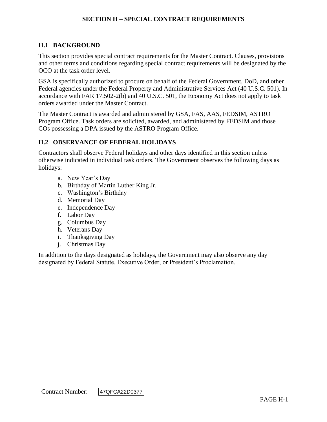## **H.1 BACKGROUND**

This section provides special contract requirements for the Master Contract. Clauses, provisions and other terms and conditions regarding special contract requirements will be designated by the OCO at the task order level.

GSA is specifically authorized to procure on behalf of the Federal Government, DoD, and other Federal agencies under the Federal Property and Administrative Services Act (40 U.S.C. 501). In accordance with FAR 17.502-2(b) and 40 U.S.C. 501, the Economy Act does not apply to task orders awarded under the Master Contract.

The Master Contract is awarded and administered by GSA, FAS, AAS, FEDSIM, ASTRO Program Office. Task orders are solicited, awarded, and administered by FEDSIM and those COs possessing a DPA issued by the ASTRO Program Office.

#### **H.2 OBSERVANCE OF FEDERAL HOLIDAYS**

Contractors shall observe Federal holidays and other days identified in this section unless otherwise indicated in individual task orders. The Government observes the following days as holidays:

- a. New Year's Day
- b. Birthday of Martin Luther King Jr.
- c. Washington's Birthday
- d. Memorial Day
- e. Independence Day
- f. Labor Day
- g. Columbus Day
- h. Veterans Day
- i. Thanksgiving Day
- j. Christmas Day

In addition to the days designated as holidays, the Government may also observe any day designated by Federal Statute, Executive Order, or President's Proclamation.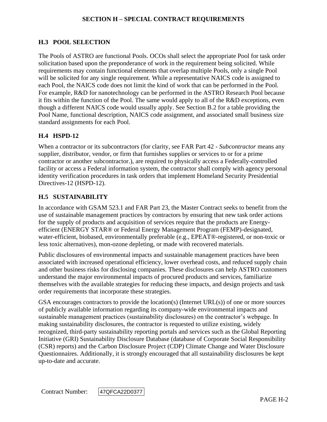## **H.3 POOL SELECTION**

The Pools of ASTRO are functional Pools. OCOs shall select the appropriate Pool for task order solicitation based upon the preponderance of work in the requirement being solicited. While requirements may contain functional elements that overlap multiple Pools, only a single Pool will be solicited for any single requirement. While a representative NAICS code is assigned to each Pool, the NAICS code does not limit the kind of work that can be performed in the Pool. For example, R&D for nanotechnology can be performed in the ASTRO Research Pool because it fits within the function of the Pool. The same would apply to all of the R&D exceptions, even though a different NAICS code would usually apply. See Section B.2 for a table providing the Pool Name, functional description, NAICS code assignment, and associated small business size standard assignments for each Pool.

### **H.4 HSPD-12**

When a contractor or its subcontractors (for clarity, see FAR Part 42 - *Subcontractor* means any supplier, distributor, vendor, or firm that furnishes supplies or services to or for a prime contractor or another subcontractor.), are required to physically access a Federally-controlled facility or access a Federal information system, the contractor shall comply with agency personal identity verification procedures in task orders that implement Homeland Security Presidential Directives-12 (HSPD-12).

### **H.5 SUSTAINABILITY**

In accordance with GSAM 523.1 and FAR Part 23, the Master Contract seeks to benefit from the use of sustainable management practices by contractors by ensuring that new task order actions for the supply of products and acquisition of services require that the products are Energyefficient (ENERGY STAR® or Federal Energy Management Program (FEMP)-designated, water-efficient, biobased, environmentally preferable (e.g., EPEAT®-registered, or non-toxic or less toxic alternatives), mon-ozone depleting, or made with recovered materials.

Public disclosures of environmental impacts and sustainable management practices have been associated with increased operational efficiency, lower overhead costs, and reduced supply chain and other business risks for disclosing companies. These disclosures can help ASTRO customers understand the major environmental impacts of procured products and services, familiarize themselves with the available strategies for reducing these impacts, and design projects and task order requirements that incorporate these strategies.

GSA encourages contractors to provide the location(s) (Internet  $URL(s)$ ) of one or more sources of publicly available information regarding its company-wide environmental impacts and sustainable management practices (sustainability disclosures) on the contractor's webpage. In making sustainability disclosures, the contractor is requested to utilize existing, widely recognized, third-party sustainability reporting portals and services such as the Global Reporting Initiative (GRI) Sustainability Disclosure Database (database of Corporate Social Responsibility (CSR) reports) and the Carbon Disclosure Project (CDP) Climate Change and Water Disclosure Questionnaires. Additionally, it is strongly encouraged that all sustainability disclosures be kept up-to-date and accurate.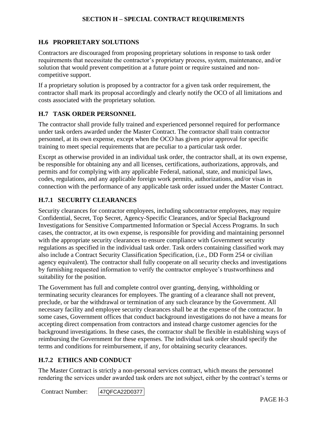### **H.6 PROPRIETARY SOLUTIONS**

Contractors are discouraged from proposing proprietary solutions in response to task order requirements that necessitate the contractor's proprietary process, system, maintenance, and/or solution that would prevent competition at a future point or require sustained and noncompetitive support.

If a proprietary solution is proposed by a contractor for a given task order requirement, the contractor shall mark its proposal accordingly and clearly notify the OCO of all limitations and costs associated with the proprietary solution.

#### **H.7 TASK ORDER PERSONNEL**

The contractor shall provide fully trained and experienced personnel required for performance under task orders awarded under the Master Contract. The contractor shall train contractor personnel, at its own expense, except when the OCO has given prior approval for specific training to meet special requirements that are peculiar to a particular task order.

Except as otherwise provided in an individual task order, the contractor shall, at its own expense, be responsible for obtaining any and all licenses, certifications, authorizations, approvals, and permits and for complying with any applicable Federal, national, state, and municipal laws, codes, regulations, and any applicable foreign work permits, authorizations, and/or visas in connection with the performance of any applicable task order issued under the Master Contract.

#### **H.7.1 SECURITY CLEARANCES**

Security clearances for contractor employees, including subcontractor employees, may require Confidential, Secret, Top Secret, Agency-Specific Clearances, and/or Special Background Investigations for Sensitive Compartmented Information or Special Access Programs. In such cases, the contractor, at its own expense, is responsible for providing and maintaining personnel with the appropriate security clearances to ensure compliance with Government security regulations as specified in the individual task order. Task orders containing classified work may also include a Contract Security Classification Specification, (i.e., DD Form 254 or civilian agency equivalent). The contractor shall fully cooperate on all security checks and investigations by furnishing requested information to verify the contractor employee's trustworthiness and suitability for the position.

The Government has full and complete control over granting, denying, withholding or terminating security clearances for employees. The granting of a clearance shall not prevent, preclude, or bar the withdrawal or termination of any such clearance by the Government. All necessary facility and employee security clearances shall be at the expense of the contractor. In some cases, Government offices that conduct background investigations do not have a means for accepting direct compensation from contractors and instead charge customer agencies for the background investigations. In these cases, the contractor shall be flexible in establishing ways of reimbursing the Government for these expenses. The individual task order should specify the terms and conditions for reimbursement, if any, for obtaining security clearances.

### **H.7.2 ETHICS AND CONDUCT**

The Master Contract is strictly a non-personal services contract, which means the personnel rendering the services under awarded task orders are not subject, either by the contract's terms or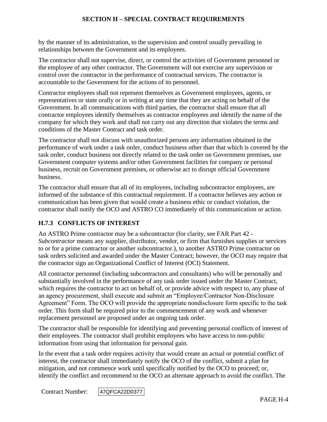by the manner of its administration, to the supervision and control usually prevailing in relationships between the Government and its employees.

The contractor shall not supervise, direct, or control the activities of Government personnel or the employee of any other contractor. The Government will not exercise any supervision or control over the contractor in the performance of contractual services. The contractor is accountable to the Government for the actions of its personnel.

Contractor employees shall not represent themselves as Government employees, agents, or representatives or state orally or in writing at any time that they are acting on behalf of the Government. In all communications with third parties, the contractor shall ensure that all contractor employees identify themselves as contractor employees and identify the name of the company for which they work and shall not carry out any direction that violates the terms and conditions of the Master Contract and task order.

The contractor shall not discuss with unauthorized persons any information obtained in the performance of work under a task order, conduct business other than that which is covered by the task order, conduct business not directly related to the task order on Government premises, use Government computer systems and/or other Government facilities for company or personal business, recruit on Government premises, or otherwise act to disrupt official Government business.

The contractor shall ensure that all of its employees, including subcontractor employees, are informed of the substance of this contractual requirement. If a contractor believes any action or communication has been given that would create a business ethic or conduct violation, the contractor shall notify the OCO and ASTRO CO immediately of this communication or action.

# **H.7.3 CONFLICTS OF INTEREST**

An ASTRO Prime contractor may be a subcontractor (for clarity, see FAR Part 42 - *Subcontractor* means any supplier, distributor, vendor, or firm that furnishes supplies or services to or for a prime contractor or another subcontractor.), to another ASTRO Prime contractor on task orders solicited and awarded under the Master Contract; however, the OCO may require that the contractor sign an Organizational Conflict of Interest (OCI) Statement.

All contractor personnel (including subcontractors and consultants) who will be personally and substantially involved in the performance of any task order issued under the Master Contract, which requires the contractor to act on behalf of, or provide advice with respect to, any phase of an agency procurement, shall execute and submit an "Employee/Contractor Non-Disclosure Agreement" Form. The OCO will provide the appropriate nondisclosure form specific to the task order. This form shall be required prior to the commencement of any work and whenever replacement personnel are proposed under an ongoing task order.

The contractor shall be responsible for identifying and preventing personal conflicts of interest of their employees. The contractor shall prohibit employees who have access to non-public information from using that information for personal gain.

In the event that a task order requires activity that would create an actual or potential conflict of interest, the contractor shall immediately notify the OCO of the conflict, submit a plan for mitigation, and not commence work until specifically notified by the OCO to proceed; or, identify the conflict and recommend to the OCO an alternate approach to avoid the conflict. The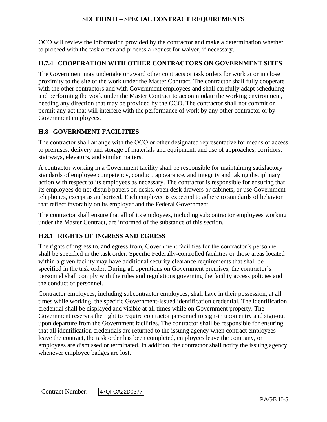OCO will review the information provided by the contractor and make a determination whether to proceed with the task order and process a request for waiver, if necessary.

### **H.7.4 COOPERATION WITH OTHER CONTRACTORS ON GOVERNMENT SITES**

The Government may undertake or award other contracts or task orders for work at or in close proximity to the site of the work under the Master Contract. The contractor shall fully cooperate with the other contractors and with Government employees and shall carefully adapt scheduling and performing the work under the Master Contract to accommodate the working environment, heeding any direction that may be provided by the OCO. The contractor shall not commit or permit any act that will interfere with the performance of work by any other contractor or by Government employees.

## **H.8 GOVERNMENT FACILITIES**

The contractor shall arrange with the OCO or other designated representative for means of access to premises, delivery and storage of materials and equipment, and use of approaches, corridors, stairways, elevators, and similar matters.

A contractor working in a Government facility shall be responsible for maintaining satisfactory standards of employee competency, conduct, appearance, and integrity and taking disciplinary action with respect to its employees as necessary. The contractor is responsible for ensuring that its employees do not disturb papers on desks, open desk drawers or cabinets, or use Government telephones, except as authorized. Each employee is expected to adhere to standards of behavior that reflect favorably on its employer and the Federal Government.

The contractor shall ensure that all of its employees, including subcontractor employees working under the Master Contract, are informed of the substance of this section.

## **H.8.1 RIGHTS OF INGRESS AND EGRESS**

The rights of ingress to, and egress from, Government facilities for the contractor's personnel shall be specified in the task order. Specific Federally-controlled facilities or those areas located within a given facility may have additional security clearance requirements that shall be specified in the task order. During all operations on Government premises, the contractor's personnel shall comply with the rules and regulations governing the facility access policies and the conduct of personnel.

Contractor employees, including subcontractor employees, shall have in their possession, at all times while working, the specific Government-issued identification credential. The identification credential shall be displayed and visible at all times while on Government property. The Government reserves the right to require contractor personnel to sign-in upon entry and sign-out upon departure from the Government facilities. The contractor shall be responsible for ensuring that all identification credentials are returned to the issuing agency when contract employees leave the contract, the task order has been completed, employees leave the company, or employees are dismissed or terminated. In addition, the contractor shall notify the issuing agency whenever employee badges are lost.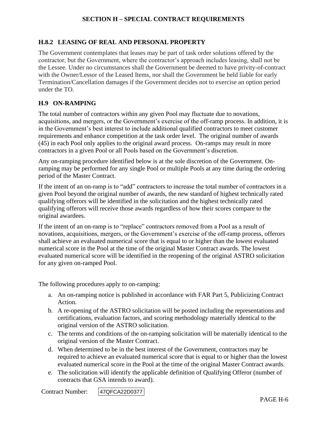### **H.8.2 LEASING OF REAL AND PERSONAL PROPERTY**

The Government contemplates that leases may be part of task order solutions offered by the contractor, but the Government, where the contractor's approach includes leasing, shall not be the Lessee. Under no circumstances shall the Government be deemed to have privity-of-contract with the Owner/Lessor of the Leased Items, nor shall the Government be held liable for early Termination/Cancellation damages if the Government decides not to exercise an option period under the TO.

#### **H.9 ON-RAMPING**

The total number of contractors within any given Pool may fluctuate due to novations, acquisitions, and mergers, or the Government's exercise of the off-ramp process. In addition, it is in the Government's best interest to include additional qualified contractors to meet customer requirements and enhance competition at the task order level. The original number of awards (45) in each Pool only applies to the original award process. On-ramps may result in more contractors in a given Pool or all Pools based on the Government's discretion.

Any on-ramping procedure identified below is at the sole discretion of the Government. Onramping may be performed for any single Pool or multiple Pools at any time during the ordering period of the Master Contract.

If the intent of an on-ramp is to "add" contractors to increase the total number of contractors in a given Pool beyond the original number of awards, the new standard of highest technically rated qualifying offerors will be identified in the solicitation and the highest technically rated qualifying offerors will receive those awards regardless of how their scores compare to the original awardees.

If the intent of an on-ramp is to "replace" contractors removed from a Pool as a result of novations, acquisitions, mergers, or the Government's exercise of the off-ramp process, offerors shall achieve an evaluated numerical score that is equal to or higher than the lowest evaluated numerical score in the Pool at the time of the original Master Contract awards. The lowest evaluated numerical score will be identified in the reopening of the original ASTRO solicitation for any given on-ramped Pool.

The following procedures apply to on-ramping:

- a. An on-ramping notice is published in accordance with FAR Part 5, Publicizing Contract Action.
- b. A re-opening of the ASTRO solicitation will be posted including the representations and certifications, evaluation factors, and scoring methodology materially identical to the original version of the ASTRO solicitation.
- c. The terms and conditions of the on-ramping solicitation will be materially identical to the original version of the Master Contract.
- d. When determined to be in the best interest of the Government, contractors may be required to achieve an evaluated numerical score that is equal to or higher than the lowest evaluated numerical score in the Pool at the time of the original Master Contract awards.
- e. The solicitation will identify the applicable definition of Qualifying Offeror (number of contracts that GSA intends to award).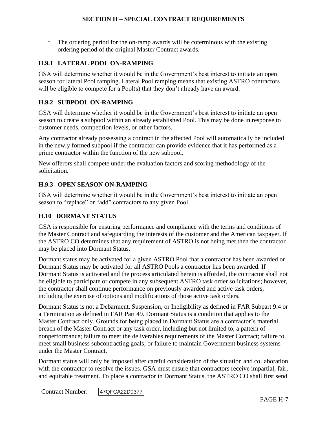f. The ordering period for the on-ramp awards will be coterminous with the existing ordering period of the original Master Contract awards.

### **H.9.1 LATERAL POOL ON-RAMPING**

GSA will determine whether it would be in the Government's best interest to initiate an open season for lateral Pool ramping. Lateral Pool ramping means that existing ASTRO contractors will be eligible to compete for a Pool(s) that they don't already have an award.

## **H.9.2 SUBPOOL ON-RAMPING**

GSA will determine whether it would be in the Government's best interest to initiate an open season to create a subpool within an already established Pool. This may be done in response to customer needs, competition levels, or other factors.

Any contractor already possessing a contract in the affected Pool will automatically be included in the newly formed subpool if the contractor can provide evidence that it has performed as a prime contractor within the function of the new subpool.

New offerors shall compete under the evaluation factors and scoring methodology of the solicitation.

## **H.9.3 OPEN SEASON ON-RAMPING**

GSA will determine whether it would be in the Government's best interest to initiate an open season to "replace" or "add" contractors to any given Pool.

## **H.10 DORMANT STATUS**

GSA is responsible for ensuring performance and compliance with the terms and conditions of the Master Contract and safeguarding the interests of the customer and the American taxpayer. If the ASTRO CO determines that any requirement of ASTRO is not being met then the contractor may be placed into Dormant Status.

Dormant status may be activated for a given ASTRO Pool that a contractor has been awarded or Dormant Status may be activated for all ASTRO Pools a contractor has been awarded. If Dormant Status is activated and the process articulated herein is afforded, the contractor shall not be eligible to participate or compete in any subsequent ASTRO task order solicitations; however, the contractor shall continue performance on previously awarded and active task orders, including the exercise of options and modifications of those active task orders.

Dormant Status is not a Debarment, Suspension, or Ineligibility as defined in FAR Subpart 9.4 or a Termination as defined in FAR Part 49. Dormant Status is a condition that applies to the Master Contract only. Grounds for being placed in Dormant Status are a contractor's material breach of the Master Contract or any task order, including but not limited to, a pattern of nonperformance; failure to meet the deliverables requirements of the Master Contract; failure to meet small business subcontracting goals; or failure to maintain Government business systems under the Master Contract.

Dormant status will only be imposed after careful consideration of the situation and collaboration with the contractor to resolve the issues. GSA must ensure that contractors receive impartial, fair, and equitable treatment. To place a contractor in Dormant Status, the ASTRO CO shall first send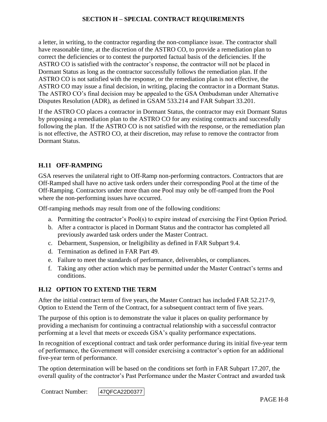a letter, in writing, to the contractor regarding the non-compliance issue. The contractor shall have reasonable time, at the discretion of the ASTRO CO, to provide a remediation plan to correct the deficiencies or to contest the purported factual basis of the deficiencies. If the ASTRO CO is satisfied with the contractor's response, the contractor will not be placed in Dormant Status as long as the contractor successfully follows the remediation plan. If the ASTRO CO is not satisfied with the response, or the remediation plan is not effective, the ASTRO CO may issue a final decision, in writing, placing the contractor in a Dormant Status. The ASTRO CO's final decision may be appealed to the GSA Ombudsman under Alternative Disputes Resolution (ADR), as defined in GSAM 533.214 and FAR Subpart 33.201.

If the ASTRO CO places a contractor in Dormant Status, the contractor may exit Dormant Status by proposing a remediation plan to the ASTRO CO for any existing contracts and successfully following the plan. If the ASTRO CO is not satisfied with the response, or the remediation plan is not effective, the ASTRO CO, at their discretion, may refuse to remove the contractor from Dormant Status.

### **H.11 OFF-RAMPING**

GSA reserves the unilateral right to Off-Ramp non-performing contractors. Contractors that are Off-Ramped shall have no active task orders under their corresponding Pool at the time of the Off-Ramping. Contractors under more than one Pool may only be off-ramped from the Pool where the non-performing issues have occurred.

Off-ramping methods may result from one of the following conditions:

- a. Permitting the contractor's Pool(s) to expire instead of exercising the First Option Period.
- b. After a contractor is placed in Dormant Status and the contractor has completed all previously awarded task orders under the Master Contract.
- c. Debarment, Suspension, or Ineligibility as defined in FAR Subpart 9.4.
- d. Termination as defined in FAR Part 49.
- e. Failure to meet the standards of performance, deliverables, or compliances.
- f. Taking any other action which may be permitted under the Master Contract's terms and conditions.

#### **H.12 OPTION TO EXTEND THE TERM**

After the initial contract term of five years, the Master Contract has included FAR 52.217-9, Option to Extend the Term of the Contract, for a subsequent contract term of five years.

The purpose of this option is to demonstrate the value it places on quality performance by providing a mechanism for continuing a contractual relationship with a successful contractor performing at a level that meets or exceeds GSA's quality performance expectations.

In recognition of exceptional contract and task order performance during its initial five-year term of performance, the Government will consider exercising a contractor's option for an additional five-year term of performance.

The option determination will be based on the conditions set forth in FAR Subpart 17.207, the overall quality of the contractor's Past Performance under the Master Contract and awarded task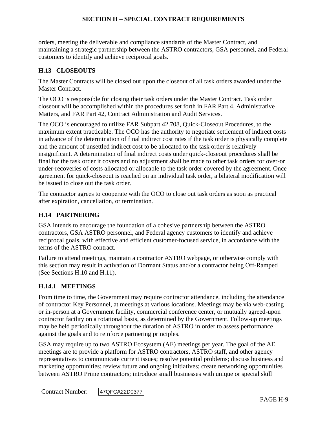orders, meeting the deliverable and compliance standards of the Master Contract, and maintaining a strategic partnership between the ASTRO contractors, GSA personnel, and Federal customers to identify and achieve reciprocal goals.

### **H.13 CLOSEOUTS**

The Master Contracts will be closed out upon the closeout of all task orders awarded under the Master Contract.

The OCO is responsible for closing their task orders under the Master Contract. Task order closeout will be accomplished within the procedures set forth in FAR Part 4, Administrative Matters, and FAR Part 42, Contract Administration and Audit Services.

The OCO is encouraged to utilize FAR Subpart 42.708, Quick-Closeout Procedures, to the maximum extent practicable. The OCO has the authority to negotiate settlement of indirect costs in advance of the determination of final indirect cost rates if the task order is physically complete and the amount of unsettled indirect cost to be allocated to the task order is relatively insignificant. A determination of final indirect costs under quick-closeout procedures shall be final for the task order it covers and no adjustment shall be made to other task orders for over-or under-recoveries of costs allocated or allocable to the task order covered by the agreement. Once agreement for quick-closeout is reached on an individual task order, a bilateral modification will be issued to close out the task order.

The contractor agrees to cooperate with the OCO to close out task orders as soon as practical after expiration, cancellation, or termination.

#### **H.14 PARTNERING**

GSA intends to encourage the foundation of a cohesive partnership between the ASTRO contractors, GSA ASTRO personnel, and Federal agency customers to identify and achieve reciprocal goals, with effective and efficient customer-focused service, in accordance with the terms of the ASTRO contract.

Failure to attend meetings, maintain a contractor ASTRO webpage, or otherwise comply with this section may result in activation of Dormant Status and/or a contractor being Off-Ramped (See Sections H.10 and H.11).

#### **H.14.1 MEETINGS**

From time to time, the Government may require contractor attendance, including the attendance of contractor Key Personnel, at meetings at various locations. Meetings may be via web-casting or in-person at a Government facility, commercial conference center, or mutually agreed-upon contractor facility on a rotational basis, as determined by the Government. Follow-up meetings may be held periodically throughout the duration of ASTRO in order to assess performance against the goals and to reinforce partnering principles.

GSA may require up to two ASTRO Ecosystem (AE) meetings per year. The goal of the AE meetings are to provide a platform for ASTRO contractors, ASTRO staff, and other agency representatives to communicate current issues; resolve potential problems; discuss business and marketing opportunities; review future and ongoing initiatives; create networking opportunities between ASTRO Prime contractors; introduce small businesses with unique or special skill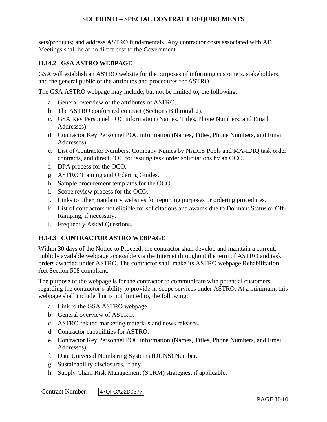sets/products; and address ASTRO fundamentals. Any contractor costs associated with AE Meetings shall be at no direct cost to the Government.

## **H.14.2 GSA ASTRO WEBPAGE**

GSA will establish an ASTRO website for the purposes of informing customers, stakeholders, and the general public of the attributes and procedures for ASTRO.

The GSA ASTRO webpage may include, but not be limited to, the following:

- a. General overview of the attributes of ASTRO.
- b. The ASTRO conformed contract (Sections B through J).
- c. GSA Key Personnel POC information (Names, Titles, Phone Numbers, and Email Addresses).
- d. Contractor Key Personnel POC information (Names, Titles, Phone Numbers, and Email Addresses).
- e. List of Contractor Numbers, Company Names by NAICS Pools and MA-IDIQ task order contracts, and direct POC for issuing task order solicitations by an OCO.
- f. DPA process for the OCO.
- g. ASTRO Training and Ordering Guides.
- h. Sample procurement templates for the OCO.
- i. Scope review process for the OCO.
- j. Links to other mandatory websites for reporting purposes or ordering procedures.
- k. List of contractors not eligible for solicitations and awards due to Dormant Status or Off-Ramping, if necessary.
- l. Frequently Asked Questions.

## **H.14.3 CONTRACTOR ASTRO WEBPAGE**

Within 30 days of the Notice to Proceed, the contractor shall develop and maintain a current, publicly available webpage accessible via the Internet throughout the term of ASTRO and task orders awarded under ASTRO. The contractor shall make its ASTRO webpage Rehabilitation Act Section 508 compliant.

The purpose of the webpage is for the contractor to communicate with potential customers regarding the contractor's ability to provide in-scope services under ASTRO. At a minimum, this webpage shall include, but is not limited to, the following:

- a. Link to the GSA ASTRO webpage.
- b. General overview of ASTRO.
- c. ASTRO related marketing materials and news releases.
- d. Contractor capabilities for ASTRO.
- e. Contractor Key Personnel POC information (Names, Titles, Phone Numbers, and Email Addresses).
- f. Data Universal Numbering Systems (DUNS) Number.
- g. Sustainability disclosures, if any.
- h. Supply Chain Risk Management (SCRM) strategies, if applicable.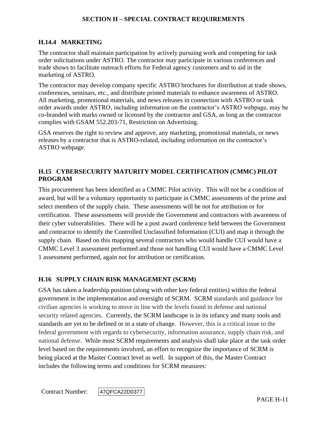## **H.14.4 MARKETING**

The contractor shall maintain participation by actively pursuing work and competing for task order solicitations under ASTRO. The contractor may participate in various conferences and trade shows to facilitate outreach efforts for Federal agency customers and to aid in the marketing of ASTRO.

The contractor may develop company specific ASTRO brochures for distribution at trade shows, conferences, seminars, etc., and distribute printed materials to enhance awareness of ASTRO. All marketing, promotional materials, and news releases in connection with ASTRO or task order awards under ASTRO, including information on the contractor's ASTRO webpage, may be co-branded with marks owned or licensed by the contractor and GSA, as long as the contractor complies with GSAM 552.203-71, Restriction on Advertising.

GSA reserves the right to review and approve, any marketing, promotional materials, or news releases by a contractor that is ASTRO-related, including information on the contractor's ASTRO webpage.

## **H.15 CYBERSECURITY MATURITY MODEL CERTIFICATION (CMMC) PILOT PROGRAM**

This procurement has been identified as a CMMC Pilot activity. This will not be a condition of award, but will be a voluntary opportunity to participate in CMMC assessments of the prime and select members of the supply chain. These assessments will be not for attribution or for certification. These assessments will provide the Government and contractors with awareness of their cyber vulnerabilities. There will be a post award conference held between the Government and contractor to identify the Controlled Unclassified Information (CUI) and map it through the supply chain. Based on this mapping several contractors who would handle CUI would have a CMMC Level 3 assessment performed and those not handling CUI would have a CMMC Level 1 assessment performed, again not for attribution or certification.

# **H.16 SUPPLY CHAIN RISK MANAGEMENT (SCRM)**

GSA has taken a leadership position (along with other key federal entities) within the federal government in the implementation and oversight of SCRM. SCRM standards and guidance for civilian agencies is working to move in line with the levels found in defense and national security related agencies. Currently, the SCRM landscape is in its infancy and many tools and standards are yet to be defined or in a state of change. However, this is a critical issue to the federal government with regards to cybersecurity, information assurance, supply chain risk, and national defense. While most SCRM requirements and analysis shall take place at the task order level based on the requirements involved, an effort to recognize the importance of SCRM is being placed at the Master Contract level as well. In support of this, the Master Contract includes the following terms and conditions for SCRM measures: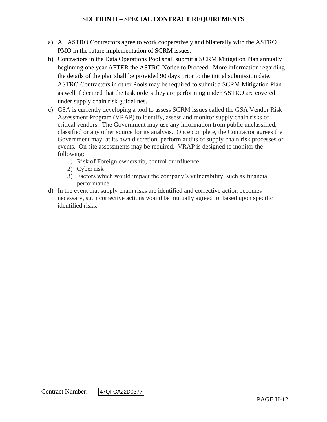- a) All ASTRO Contractors agree to work cooperatively and bilaterally with the ASTRO PMO in the future implementation of SCRM issues.
- b) Contractors in the Data Operations Pool shall submit a SCRM Mitigation Plan annually beginning one year AFTER the ASTRO Notice to Proceed. More information regarding the details of the plan shall be provided 90 days prior to the initial submission date. ASTRO Contractors in other Pools may be required to submit a SCRM Mitigation Plan as well if deemed that the task orders they are performing under ASTRO are covered under supply chain risk guidelines.
- c) GSA is currently developing a tool to assess SCRM issues called the GSA Vendor Risk Assessment Program (VRAP) to identify, assess and monitor supply chain risks of critical vendors. The Government may use any information from public unclassified, classified or any other source for its analysis. Once complete, the Contractor agrees the Government may, at its own discretion, perform audits of supply chain risk processes or events. On site assessments may be required. VRAP is designed to monitor the following:
	- 1) Risk of Foreign ownership, control or influence
	- 2) Cyber risk
	- 3) Factors which would impact the company's vulnerability, such as financial performance.
- d) In the event that supply chain risks are identified and corrective action becomes necessary, such corrective actions would be mutually agreed to, based upon specific identified risks.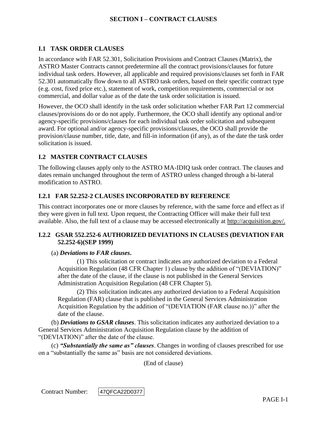## **I.1 TASK ORDER CLAUSES**

In accordance with FAR 52.301, Solicitation Provisions and Contract Clauses (Matrix), the ASTRO Master Contracts cannot predetermine all the contract provisions/clauses for future individual task orders. However, all applicable and required provisions/clauses set forth in FAR 52.301 automatically flow down to all ASTRO task orders, based on their specific contract type (e.g. cost, fixed price etc.), statement of work, competition requirements, commercial or not commercial, and dollar value as of the date the task order solicitation is issued.

However, the OCO shall identify in the task order solicitation whether FAR Part 12 commercial clauses/provisions do or do not apply. Furthermore, the OCO shall identify any optional and/or agency-specific provisions/clauses for each individual task order solicitation and subsequent award. For optional and/or agency-specific provisions/clauses, the OCO shall provide the provision/clause number, title, date, and fill-in information (if any), as of the date the task order solicitation is issued.

## **I.2 MASTER CONTRACT CLAUSES**

The following clauses apply only to the ASTRO MA-IDIQ task order contract. The clauses and dates remain unchanged throughout the term of ASTRO unless changed through a bi-lateral modification to ASTRO.

## **I.2.1 FAR 52.252-2 CLAUSES INCORPORATED BY REFERENCE**

This contract incorporates one or more clauses by reference, with the same force and effect as if they were given in full text. Upon request, the Contracting Officer will make their full text available. Also, the full text of a clause may be accessed electronically at [http://acquisition.gov/.](http://acquisition.gov/)

## **I.2.2 GSAR 552.252-6 AUTHORIZED DEVIATIONS IN CLAUSES (DEVIATION FAR 52.252-6)(SEP 1999)**

#### (a) *Deviations to FAR clauses***.**

(1) This solicitation or contract indicates any authorized deviation to a Federal Acquisition Regulation (48 CFR Chapter 1) clause by the addition of "(DEVIATION)" after the date of the clause, if the clause is not published in the General Services Administration Acquisition Regulation (48 CFR Chapter 5).

(2) This solicitation indicates any authorized deviation to a Federal Acquisition Regulation (FAR) clause that is published in the General Services Administration Acquisition Regulation by the addition of "(DEVIATION (FAR clause no.))" after the date of the clause.

(b) *Deviations to GSAR clauses*. This solicitation indicates any authorized deviation to a General Services Administration Acquisition Regulation clause by the addition of "(DEVIATION)" after the date of the clause.

(c) *"Substantially the same as" clauses*. Changes in wording of clauses prescribed for use on a "substantially the same as" basis are not considered deviations.

(End of clause)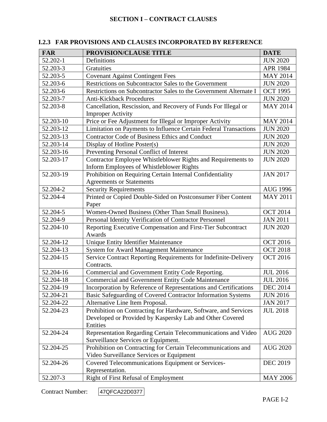| <b>FAR</b> | PROVISION/CLAUSE TITLE                                                                                    | <b>DATE</b>     |
|------------|-----------------------------------------------------------------------------------------------------------|-----------------|
| 52.202-1   | Definitions                                                                                               | <b>JUN 2020</b> |
| 52.203-3   | Gratuities                                                                                                | APR 1984        |
| 52.203-5   | <b>Covenant Against Contingent Fees</b>                                                                   | <b>MAY 2014</b> |
| 52.203-6   | Restrictions on Subcontractor Sales to the Government                                                     | <b>JUN 2020</b> |
| 52.203-6   | Restrictions on Subcontractor Sales to the Government Alternate I                                         | <b>OCT 1995</b> |
| 52.203-7   | <b>Anti-Kickback Procedures</b>                                                                           | <b>JUN 2020</b> |
| 52.203-8   | Cancellation, Rescission, and Recovery of Funds For Illegal or<br><b>Improper Activity</b>                | <b>MAY 2014</b> |
| 52.203-10  | Price or Fee Adjustment for Illegal or Improper Activity                                                  | <b>MAY 2014</b> |
| 52.203-12  | Limitation on Payments to Influence Certain Federal Transactions                                          | <b>JUN 2020</b> |
| 52.203-13  | Contractor Code of Business Ethics and Conduct                                                            | <b>JUN 2020</b> |
| 52.203-14  | Display of Hotline Poster(s)                                                                              | <b>JUN 2020</b> |
| 52.203-16  | Preventing Personal Conflict of Interest                                                                  | <b>JUN 2020</b> |
| 52.203-17  | Contractor Employee Whistleblower Rights and Requirements to<br>Inform Employees of Whistleblower Rights  | <b>JUN 2020</b> |
| 52.203-19  | Prohibition on Requiring Certain Internal Confidentiality<br><b>Agreements or Statements</b>              | <b>JAN 2017</b> |
| 52.204-2   | <b>Security Requirements</b>                                                                              | <b>AUG 1996</b> |
| 52.204-4   | Printed or Copied Double-Sided on Postconsumer Fiber Content<br>Paper                                     | <b>MAY 2011</b> |
| 52.204-5   | Women-Owned Business (Other Than Small Business).                                                         | <b>OCT 2014</b> |
| 52.204-9   | Personal Identity Verification of Contractor Personnel                                                    | <b>JAN 2011</b> |
| 52.204-10  | Reporting Executive Compensation and First-Tier Subcontract<br>Awards                                     | <b>JUN 2020</b> |
| 52.204-12  | Unique Entity Identifier Maintenance<br><b>OCT 2016</b>                                                   |                 |
| 52.204-13  | System for Award Management Maintenance<br><b>OCT 2018</b>                                                |                 |
| 52.204-15  | Service Contract Reporting Requirements for Indefinite-Delivery<br>Contracts.                             | <b>OCT 2016</b> |
| 52.204-16  | Commercial and Government Entity Code Reporting.                                                          | <b>JUL 2016</b> |
| 52.204-18  | <b>Commercial and Government Entity Code Maintenance</b>                                                  | <b>JUL 2016</b> |
| 52.204-19  | Incorporation by Reference of Representations and Certifications                                          | <b>DEC 2014</b> |
| 52.204-21  | Basic Safeguarding of Covered Contractor Information Systems                                              | <b>JUN 2016</b> |
| 52.204-22  | Alternative Line Item Proposal.                                                                           | <b>JAN 2017</b> |
| 52.204-23  | Prohibition on Contracting for Hardware, Software, and Services                                           | <b>JUL 2018</b> |
|            | Developed or Provided by Kaspersky Lab and Other Covered<br>Entities                                      |                 |
| 52.204-24  | Representation Regarding Certain Telecommunications and Video<br>Surveillance Services or Equipment.      | <b>AUG 2020</b> |
| 52.204-25  | Prohibition on Contracting for Certain Telecommunications and<br>Video Surveillance Services or Equipment | <b>AUG 2020</b> |
| 52.204-26  | Covered Telecommunications Equipment or Services-<br>Representation.                                      | <b>DEC 2019</b> |
| 52.207-3   | Right of First Refusal of Employment                                                                      | <b>MAY 2006</b> |

# **I.2.3 FAR PROVISIONS AND CLAUSES INCORPORATED BY REFERENCE**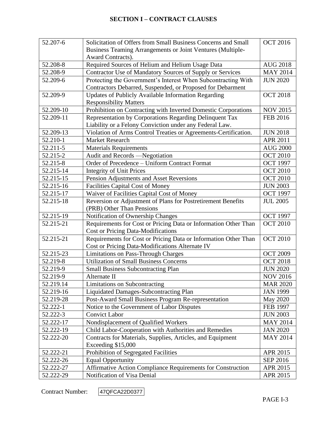| 52.207-6  | <b>OCT 2016</b><br>Solicitation of Offers from Small Business Concerns and Small   |                 |
|-----------|------------------------------------------------------------------------------------|-----------------|
|           | Business Teaming Arrangements or Joint Ventures (Multiple-                         |                 |
|           | Award Contracts).                                                                  |                 |
| 52.208-8  | Required Sources of Helium and Helium Usage Data                                   | <b>AUG 2018</b> |
| 52.208-9  | Contractor Use of Mandatory Sources of Supply or Services                          | <b>MAY 2014</b> |
| 52.209-6  | Protecting the Government's Interest When Subcontracting With                      | <b>JUN 2020</b> |
|           | Contractors Debarred, Suspended, or Proposed for Debarment                         |                 |
| 52.209-9  | Updates of Publicly Available Information Regarding                                | <b>OCT 2018</b> |
|           | <b>Responsibility Matters</b>                                                      |                 |
| 52.209-10 | Prohibition on Contracting with Inverted Domestic Corporations                     | <b>NOV 2015</b> |
| 52.209-11 | Representation by Corporations Regarding Delinquent Tax                            | <b>FEB 2016</b> |
|           | Liability or a Felony Conviction under any Federal Law.                            |                 |
| 52.209-13 | Violation of Arms Control Treaties or Agreements-Certification.                    | <b>JUN 2018</b> |
| 52.210-1  | <b>Market Research</b>                                                             | APR 2011        |
| 52.211-5  | <b>Materials Requirements</b>                                                      | <b>AUG 2000</b> |
| 52.215-2  | Audit and Records -Negotiation                                                     | <b>OCT 2010</b> |
| 52.215-8  | Order of Precedence - Uniform Contract Format                                      | <b>OCT 1997</b> |
| 52.215-14 | <b>Integrity of Unit Prices</b>                                                    | <b>OCT 2010</b> |
| 52.215-15 | Pension Adjustments and Asset Reversions                                           | <b>OCT 2010</b> |
| 52.215-16 | <b>Facilities Capital Cost of Money</b>                                            | <b>JUN 2003</b> |
| 52.215-17 | Waiver of Facilities Capital Cost of Money<br><b>OCT 1997</b>                      |                 |
| 52.215-18 | Reversion or Adjustment of Plans for Postretirement Benefits                       | <b>JUL 2005</b> |
|           | (PRB) Other Than Pensions                                                          |                 |
| 52.215-19 | Notification of Ownership Changes                                                  | <b>OCT 1997</b> |
| 52.215-21 | Requirements for Cost or Pricing Data or Information Other Than                    | <b>OCT 2010</b> |
|           | <b>Cost or Pricing Data-Modifications</b>                                          |                 |
| 52.215-21 | Requirements for Cost or Pricing Data or Information Other Than<br><b>OCT 2010</b> |                 |
|           | Cost or Pricing Data-Modifications Alternate IV                                    |                 |
| 52.215-23 | <b>Limitations on Pass-Through Charges</b>                                         | <b>OCT 2009</b> |
| 52.219-8  | <b>Utilization of Small Business Concerns</b>                                      | <b>OCT 2018</b> |
| 52.219-9  | <b>Small Business Subcontracting Plan</b>                                          | <b>JUN 2020</b> |
| 52.219-9  | Alternate II                                                                       | <b>NOV 2016</b> |
| 52.219.14 | <b>Limitations on Subcontracting</b>                                               | <b>MAR 2020</b> |
| 52.219-16 | Liquidated Damages-Subcontracting Plan                                             | <b>JAN 1999</b> |
| 52.219-28 | Post-Award Small Business Program Re-representation                                | May 2020        |
| 52.222-1  | Notice to the Government of Labor Disputes                                         | <b>FEB 1997</b> |
| 52.222-3  | <b>Convict Labor</b>                                                               | <b>JUN 2003</b> |
| 52.222-17 | Nondisplacement of Qualified Workers                                               | <b>MAY 2014</b> |
| 52.222-19 | Child Labor-Cooperation with Authorities and Remedies                              | <b>JAN 2020</b> |
| 52.222-20 | Contracts for Materials, Supplies, Articles, and Equipment                         | <b>MAY 2014</b> |
|           | Exceeding \$15,000                                                                 |                 |
| 52.222-21 | Prohibition of Segregated Facilities                                               | APR 2015        |
| 52.222-26 | <b>Equal Opportunity</b>                                                           | SEP 2016        |
| 52.222-27 | Affirmative Action Compliance Requirements for Construction                        | APR 2015        |
| 52.222-29 | Notification of Visa Denial                                                        | APR 2015        |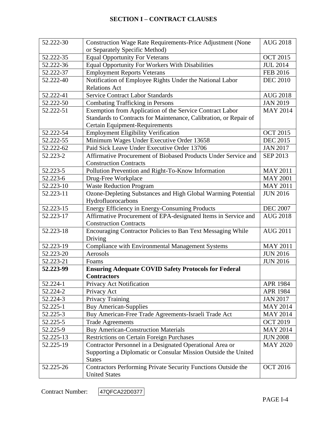| 52.222-30 | Construction Wage Rate Requirements-Price Adjustment (None                  | <b>AUG 2018</b> |
|-----------|-----------------------------------------------------------------------------|-----------------|
|           | or Separately Specific Method)                                              |                 |
| 52.222-35 | <b>Equal Opportunity For Veterans</b>                                       | <b>OCT 2015</b> |
| 52.222-36 | Equal Opportunity For Workers With Disabilities                             | <b>JUL 2014</b> |
| 52.222-37 | <b>Employment Reports Veterans</b>                                          | <b>FEB 2016</b> |
| 52.222-40 | Notification of Employee Rights Under the National Labor<br><b>DEC 2010</b> |                 |
|           | <b>Relations Act</b>                                                        |                 |
| 52.222-41 | <b>Service Contract Labor Standards</b>                                     | <b>AUG 2018</b> |
| 52.222-50 | <b>Combating Trafficking in Persons</b>                                     | <b>JAN 2019</b> |
| 52.222-51 | Exemption from Application of the Service Contract Labor                    | <b>MAY 2014</b> |
|           | Standards to Contracts for Maintenance, Calibration, or Repair of           |                 |
|           | Certain Equipment-Requirements                                              |                 |
| 52.222-54 | <b>Employment Eligibility Verification</b>                                  | <b>OCT 2015</b> |
| 52.222-55 | Minimum Wages Under Executive Order 13658                                   | <b>DEC 2015</b> |
| 52.222-62 | Paid Sick Leave Under Executive Order 13706                                 | <b>JAN 2017</b> |
| 52.223-2  | Affirmative Procurement of Biobased Products Under Service and              | SEP 2013        |
|           | <b>Construction Contracts</b>                                               |                 |
| 52.223-5  | Pollution Prevention and Right-To-Know Information                          | <b>MAY 2011</b> |
| 52.223-6  | Drug-Free Workplace                                                         | <b>MAY 2001</b> |
| 52.223-10 | <b>Waste Reduction Program</b>                                              | <b>MAY 2011</b> |
| 52.223-11 | Ozone-Depleting Substances and High Global Warming Potential                | <b>JUN 2016</b> |
|           | Hydrofluorocarbons                                                          |                 |
| 52.223-15 | Energy Efficiency in Energy-Consuming Products<br><b>DEC 2007</b>           |                 |
| 52.223-17 | Affirmative Procurement of EPA-designated Items in Service and              | <b>AUG 2018</b> |
|           | <b>Construction Contracts</b>                                               |                 |
| 52.223-18 | Encouraging Contractor Policies to Ban Text Messaging While                 | <b>AUG 2011</b> |
|           | Driving                                                                     |                 |
| 52.223-19 | <b>Compliance with Environmental Management Systems</b>                     | <b>MAY 2011</b> |
| 52.223-20 | Aerosols                                                                    | <b>JUN 2016</b> |
| 52.223-21 | Foams                                                                       | <b>JUN 2016</b> |
| 52.223-99 | <b>Ensuring Adequate COVID Safety Protocols for Federal</b>                 |                 |
|           | <b>Contractors</b>                                                          |                 |
| 52.224-1  | Privacy Act Notification                                                    | <b>APR 1984</b> |
| 52.224-2  | Privacy Act                                                                 | <b>APR 1984</b> |
| 52.224-3  | Privacy Training                                                            | <b>JAN 2017</b> |
| 52.225-1  | <b>Buy American-Supplies</b>                                                | <b>MAY 2014</b> |
| 52.225-3  | Buy American-Free Trade Agreements-Israeli Trade Act                        | <b>MAY 2014</b> |
| 52.225-5  | <b>Trade Agreements</b>                                                     | <b>OCT 2019</b> |
| 52.225-9  | <b>Buy American-Construction Materials</b>                                  | <b>MAY 2014</b> |
| 52.225-13 | <b>Restrictions on Certain Foreign Purchases</b>                            | <b>JUN 2008</b> |
| 52.225-19 | Contractor Personnel in a Designated Operational Area or                    | <b>MAY 2020</b> |
|           | Supporting a Diplomatic or Consular Mission Outside the United              |                 |
|           | <b>States</b>                                                               |                 |
| 52.225-26 | Contractors Performing Private Security Functions Outside the               | <b>OCT 2016</b> |
|           | <b>United States</b>                                                        |                 |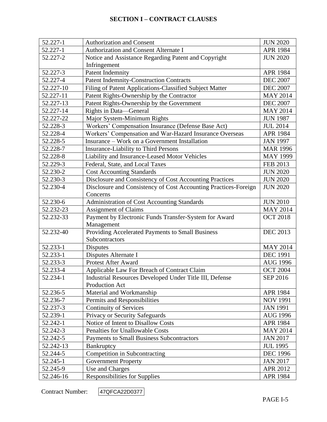| 52.227-1  | <b>Authorization and Consent</b>                                    | <b>JUN 2020</b> |
|-----------|---------------------------------------------------------------------|-----------------|
| 52.227-1  | Authorization and Consent Alternate I                               | <b>APR 1984</b> |
| 52.227-2  | Notice and Assistance Regarding Patent and Copyright                | <b>JUN 2020</b> |
|           | Infringement                                                        |                 |
| 52.227-3  | <b>Patent Indemnity</b>                                             | <b>APR 1984</b> |
| 52.227-4  | <b>Patent Indemnity-Construction Contracts</b>                      | <b>DEC 2007</b> |
| 52.227-10 | Filing of Patent Applications-Classified Subject Matter             | <b>DEC 2007</b> |
| 52.227-11 | Patent Rights-Ownership by the Contractor                           | <b>MAY 2014</b> |
| 52.227-13 | Patent Rights-Ownership by the Government                           | <b>DEC 2007</b> |
| 52.227-14 | Rights in Data—General                                              | <b>MAY 2014</b> |
| 52.227-22 | Major System-Minimum Rights                                         | <b>JUN 1987</b> |
| 52.228-3  | Workers' Compensation Insurance (Defense Base Act)                  | <b>JUL 2014</b> |
| 52.228-4  | Workers' Compensation and War-Hazard Insurance Overseas             | <b>APR 1984</b> |
| 52.228-5  | Insurance - Work on a Government Installation                       | <b>JAN 1997</b> |
| 52.228-7  | <b>Insurance-Liability to Third Persons</b>                         | <b>MAR 1996</b> |
| 52.228-8  | Liability and Insurance-Leased Motor Vehicles                       | <b>MAY 1999</b> |
| 52.229-3  | Federal, State, and Local Taxes                                     | FEB 2013        |
| 52.230-2  | <b>Cost Accounting Standards</b>                                    | <b>JUN 2020</b> |
| 52.230-3  | Disclosure and Consistency of Cost Accounting Practices             | <b>JUN 2020</b> |
| 52.230-4  | Disclosure and Consistency of Cost Accounting Practices-Foreign     | <b>JUN 2020</b> |
|           | Concerns                                                            |                 |
| 52.230-6  | Administration of Cost Accounting Standards                         | <b>JUN 2010</b> |
| 52.232-23 | <b>Assignment of Claims</b><br><b>MAY 2014</b>                      |                 |
| 52.232-33 | Payment by Electronic Funds Transfer-System for Award               | <b>OCT 2018</b> |
|           | Management                                                          |                 |
| 52.232-40 | Providing Accelerated Payments to Small Business<br><b>DEC 2013</b> |                 |
|           | Subcontractors                                                      |                 |
| 52.233-1  | <b>Disputes</b>                                                     | <b>MAY 2014</b> |
| 52.233-1  | Disputes Alternate I                                                | <b>DEC 1991</b> |
| 52.233-3  | Protest After Award                                                 | <b>AUG 1996</b> |
| 52.233-4  | Applicable Law For Breach of Contract Claim                         | <b>OCT 2004</b> |
| 52.234-1  | Industrial Resources Developed Under Title III, Defense             | SEP 2016        |
|           | Production Act                                                      |                 |
| 52.236-5  | Material and Workmanship                                            | APR 1984        |
| 52.236-7  | Permits and Responsibilities                                        | <b>NOV 1991</b> |
| 52.237-3  | <b>Continuity of Services</b>                                       | <b>JAN 1991</b> |
| 52.239-1  | Privacy or Security Safeguards                                      | <b>AUG 1996</b> |
| 52.242-1  | Notice of Intent to Disallow Costs                                  | APR 1984        |
| 52.242-3  | Penalties for Unallowable Costs                                     | <b>MAY 2014</b> |
| 52.242-5  | <b>Payments to Small Business Subcontractors</b>                    | <b>JAN 2017</b> |
| 52.242-13 | Bankruptcy                                                          | <b>JUL 1995</b> |
| 52.244-5  | Competition in Subcontracting                                       | <b>DEC 1996</b> |
| 52.245-1  | <b>Government Property</b>                                          | <b>JAN 2017</b> |
| 52.245-9  | Use and Charges                                                     | APR 2012        |
| 52.246-16 | <b>Responsibilities for Supplies</b>                                | APR 1984        |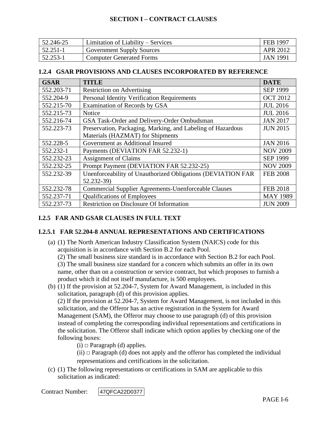| 52.246-25 | Limitation of Liability – Services | FEB 1997 |
|-----------|------------------------------------|----------|
| 52.251-1  | <b>Government Supply Sources</b>   | APR 2012 |
| 52.253-1  | <b>Computer Generated Forms</b>    | JAN 1991 |

### **1.2.4 GSAR PROVISIONS AND CLAUSES INCORPORATED BY REFERENCE**

| <b>GSAR</b> | <b>TITLE</b>                                                                   | <b>DATE</b>     |
|-------------|--------------------------------------------------------------------------------|-----------------|
| 552.203-71  | <b>Restriction on Advertising</b>                                              | <b>SEP 1999</b> |
| 552.204-9   | <b>Personal Identity Verification Requirements</b>                             | <b>OCT 2012</b> |
| 552.215-70  | Examination of Records by GSA                                                  | <b>JUL 2016</b> |
| 552.215-73  | <b>Notice</b>                                                                  | <b>JUL 2016</b> |
| 552.216-74  | GSA Task-Order and Delivery-Order Ombudsman                                    | <b>JAN 2017</b> |
| 552.223-73  | Preservation, Packaging, Marking, and Labeling of Hazardous                    | <b>JUN 2015</b> |
|             | Materials (HAZMAT) for Shipments                                               |                 |
| 552.228-5   | Government as Additional Insured<br><b>JAN 2016</b>                            |                 |
| 552.232-1   | Payments (DEVIATION FAR 52.232-1)<br><b>NOV 2009</b>                           |                 |
| 552.232-23  | <b>Assignment of Claims</b><br><b>SEP 1999</b>                                 |                 |
| 552.232-25  | Prompt Payment (DEVIATION FAR 52.232-25)<br><b>NOV 2009</b>                    |                 |
| 552.232-39  | Unenforceability of Unauthorized Obligations (DEVIATION FAR<br><b>FEB 2008</b> |                 |
|             | 52.232-39)                                                                     |                 |
| 552.232-78  | <b>Commercial Supplier Agreements-Unenforceable Clauses</b><br><b>FEB 2018</b> |                 |
| 552.237-71  | <b>Qualifications of Employees</b><br><b>MAY 1989</b>                          |                 |
| 552.237-73  | <b>Restriction on Disclosure Of Information</b><br><b>JUN 2009</b>             |                 |

# **I.2.5 FAR AND GSAR CLAUSES IN FULL TEXT**

## **I.2.5.1 FAR 52.204-8 ANNUAL REPRESENTATIONS AND CERTIFICATIONS**

(a) (1) The North American Industry Classification System (NAICS) code for this acquisition is in accordance with Section B.2 for each Pool.

(2) The small business size standard is in accordance with Section B.2 for each Pool.

(3) The small business size standard for a concern which submits an offer in its own name, other than on a construction or service contract, but which proposes to furnish a product which it did not itself manufacture, is 500 employees.

(b) (1) If the provision at [52.204-7,](https://acquisition.gov/far/52.204-7#FAR_52_204_7) System for Award Management, is included in this solicitation, paragraph (d) of this provision applies.

(2) If the provision at [52.204-7,](https://acquisition.gov/far/52.204-7#FAR_52_204_7) System for Award Management, is not included in this solicitation, and the Offeror has an active registration in the System for Award Management (SAM), the Offeror may choose to use paragraph (d) of this provision instead of completing the corresponding individual representations and certifications in the solicitation. The Offeror shall indicate which option applies by checking one of the following boxes:

(i) *□* Paragraph (d) applies.

(ii) *□* Paragraph (d) does not apply and the offeror has completed the individual representations and certifications in the solicitation.

(c) (1) The following representations or certifications in SAM are applicable to this solicitation as indicated: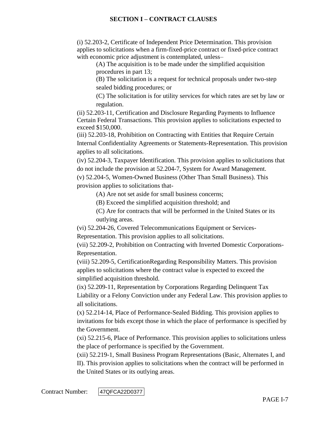(i) [52.203-2,](https://acquisition.gov/far/52.203-2#FAR_52_203_2) Certificate of Independent Price Determination. This provision applies to solicitations when a firm-fixed-price contract or fixed-price contract with economic price adjustment is contemplated, unless–

(A) The acquisition is to be made under the simplified acquisition procedures in [part 13;](https://acquisition.gov/far/Part_13.html#FAR_Part_13)

(B) The solicitation is a request for technical proposals under two-step sealed bidding procedures; or

(C) The solicitation is for utility services for which rates are set by law or regulation.

(ii) [52.203-11,](https://acquisition.gov/far/52.203-11#FAR_52_203_11) Certification and Disclosure Regarding Payments to Influence Certain Federal Transactions. This provision applies to solicitations expected to exceed \$150,000.

(iii) [52.203-18,](https://acquisition.gov/far/52.203-18#FAR_52_203_18) Prohibition on Contracting with Entities that Require Certain Internal Confidentiality Agreements or Statements-Representation. This provision applies to all solicitations.

(iv) [52.204-3,](https://acquisition.gov/far/52.204-3#FAR_52_204_3) Taxpayer Identification. This provision applies to solicitations that do not include the provision at [52.204-7,](https://acquisition.gov/far/52.204-7#FAR_52_204_7) System for Award Management.

(v) [52.204-5,](https://acquisition.gov/far/52.204-5#FAR_52_204_5) Women-Owned Business (Other Than Small Business). This provision applies to solicitations that-

(A) Are not set aside for small business concerns;

(B) Exceed the simplified acquisition threshold; and

(C) Are for contracts that will be performed in the United States or its outlying areas.

(vi) [52.204-26,](https://acquisition.gov/far/52.204-26#FAR_52_204_26) Covered Telecommunications Equipment or Services-

Representation. This provision applies to all solicitations.

(vii) [52.209-2,](https://acquisition.gov/far/52.209-2#FAR_52_209_2) Prohibition on Contracting with Inverted Domestic Corporations-Representation.

(viii) [52.209-5,](https://acquisition.gov/far/52.209-5#FAR_52_209_5) CertificationRegarding Responsibility Matters. This provision applies to solicitations where the contract value is expected to exceed the simplified acquisition threshold.

(ix) [52.209-11,](https://acquisition.gov/far/52.209-11#FAR_52_209_11) Representation by Corporations Regarding Delinquent Tax Liability or a Felony Conviction under any Federal Law. This provision applies to all solicitations.

(x) [52.214-14,](https://acquisition.gov/far/52.214-14#FAR_52_214_14) Place of Performance-Sealed Bidding. This provision applies to invitations for bids except those in which the place of performance is specified by the Government.

(xi) [52.215-6,](https://acquisition.gov/far/52.215-6#FAR_52_215_6) Place of Performance. This provision applies to solicitations unless the place of performance is specified by the Government.

(xii) [52.219-1,](https://acquisition.gov/far/52.219-1#FAR_52_219_1) Small Business Program Representations (Basic, Alternates I, and II). This provision applies to solicitations when the contract will be performed in the United States or its outlying areas.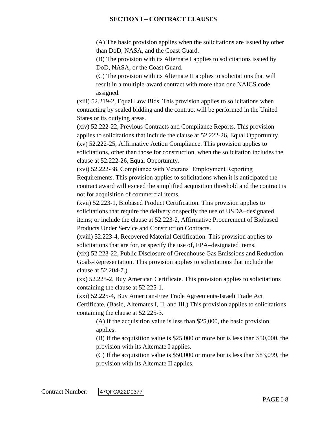(A) The basic provision applies when the solicitations are issued by other than DoD, NASA, and the Coast Guard.

(B) The provision with its Alternate I applies to solicitations issued by DoD, NASA, or the Coast Guard.

(C) The provision with its Alternate II applies to solicitations that will result in a multiple-award contract with more than one NAICS code assigned.

(xiii) [52.219-2,](https://acquisition.gov/far/52.219-2#FAR_52_219_2) Equal Low Bids. This provision applies to solicitations when contracting by sealed bidding and the contract will be performed in the United States or its outlying areas.

(xiv) [52.222-22,](https://acquisition.gov/far/52.222-22#FAR_52_222_22) Previous Contracts and Compliance Reports. This provision applies to solicitations that include the clause at [52.222-26,](https://acquisition.gov/far/52.222-26#FAR_52_222_26) Equal Opportunity. (xv) [52.222-25,](https://acquisition.gov/far/52.222-25#FAR_52_222_25) Affirmative Action Compliance. This provision applies to solicitations, other than those for construction, when the solicitation includes the clause at [52.222-26,](https://acquisition.gov/far/52.222-26#FAR_52_222_26) Equal Opportunity.

(xvi) [52.222-38,](https://acquisition.gov/far/52.222-38#FAR_52_222_38) Compliance with Veterans' Employment Reporting Requirements. This provision applies to solicitations when it is anticipated the contract award will exceed the simplified acquisition threshold and the contract is not for acquisition of commercial items.

(xvii) [52.223-1,](https://acquisition.gov/far/52.223-1#FAR_52_223_1) Biobased Product Certification. This provision applies to solicitations that require the delivery or specify the use of USDA–designated items; or include the clause at [52.223-2,](https://acquisition.gov/far/52.223-2#FAR_52_223_2) Affirmative Procurement of Biobased Products Under Service and Construction Contracts.

(xviii) [52.223-4,](https://acquisition.gov/far/52.223-4#FAR_52_223_4) Recovered Material Certification. This provision applies to solicitations that are for, or specify the use of, EPA–designated items.

(xix) [52.223-22,](https://acquisition.gov/far/52.223-22#FAR_52_223_22) Public Disclosure of Greenhouse Gas Emissions and Reduction Goals-Representation. This provision applies to solicitations that include the clause at [52.204-7.](https://acquisition.gov/far/52.204-7#FAR_52_204_7))

(xx) [52.225-2,](https://acquisition.gov/far/52.225-2#FAR_52_225_2) Buy American Certificate. This provision applies to solicitations containing the clause at [52.225-1.](https://acquisition.gov/far/52.225-1#FAR_52_225_1)

(xxi) [52.225-4,](https://acquisition.gov/far/52.225-4#FAR_52_225_4) Buy American-Free Trade Agreements-Israeli Trade Act Certificate. (Basic, Alternates I, II, and III.) This provision applies to solicitations containing the clause at [52.225-3.](https://acquisition.gov/far/52.225-3#FAR_52_225_3)

(A) If the acquisition value is less than \$25,000, the basic provision applies.

(B) If the acquisition value is \$25,000 or more but is less than \$50,000, the provision with its Alternate I applies.

(C) If the acquisition value is \$50,000 or more but is less than \$83,099, the provision with its Alternate II applies.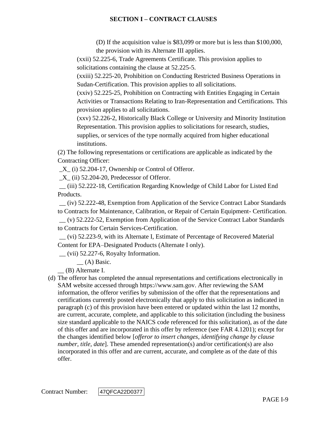(D) If the acquisition value is \$83,099 or more but is less than \$100,000, the provision with its Alternate III applies.

(xxii) [52.225-6,](https://acquisition.gov/far/52.225-6#FAR_52_225_6) Trade Agreements Certificate. This provision applies to solicitations containing the clause at [52.225-5.](https://acquisition.gov/far/52.225-5#FAR_52_225_5)

(xxiii) [52.225-20,](https://acquisition.gov/far/52.225-20#FAR_52_225_20) Prohibition on Conducting Restricted Business Operations in Sudan-Certification. This provision applies to all solicitations.

(xxiv) [52.225-25,](https://acquisition.gov/far/52.225-25#FAR_52_225_25) Prohibition on Contracting with Entities Engaging in Certain Activities or Transactions Relating to Iran-Representation and Certifications. This provision applies to all solicitations.

(xxv) [52.226-2,](https://acquisition.gov/far/52.226-2#FAR_52_226_2) Historically Black College or University and Minority Institution Representation. This provision applies to solicitations for research, studies, supplies, or services of the type normally acquired from higher educational institutions.

(2) The following representations or certifications are applicable as indicated by the Contracting Officer:

 $X_{1}$  (i) [52.204-17,](https://acquisition.gov/far/52.204-17#FAR_52_204_17) Ownership or Control of Offeror.

 $X$ <sub>(ii)</sub> [52.204-20,](https://acquisition.gov/far/52.204-20#FAR_52_204_20) Predecessor of Offeror.

\_\_ (iii) [52.222-18,](https://acquisition.gov/far/52.222-18#FAR_52_222_18) Certification Regarding Knowledge of Child Labor for Listed End Products.

\_\_ (iv) [52.222-48,](https://acquisition.gov/far/52.222-48#FAR_52_222_48) Exemption from Application of the Service Contract Labor Standards to Contracts for Maintenance, Calibration, or Repair of Certain Equipment- Certification. \_\_ (v) [52.222-52,](https://acquisition.gov/far/52.222-52#FAR_52_222_52) Exemption from Application of the Service Contract Labor Standards to Contracts for Certain Services-Certification.

\_\_ (vi) [52.223-9,](https://acquisition.gov/far/52.223-9#FAR_52_223_9) with its Alternate I, Estimate of Percentage of Recovered Material Content for EPA–Designated Products (Alternate I only).

 $\equiv$  (vii) [52.227-6,](https://acquisition.gov/far/52.227-6#FAR_52_227_6) Royalty Information.

\_\_ (A) Basic.

\_\_ (B) Alternate I.

(d) The offeror has completed the annual representations and certifications electronically in SAM website accessed through [https://www.sam.gov.](https://www.sam.gov/) After reviewing the SAM information, the offeror verifies by submission of the offer that the representations and certifications currently posted electronically that apply to this solicitation as indicated in paragraph (c) of this provision have been entered or updated within the last 12 months, are current, accurate, complete, and applicable to this solicitation (including the business size standard applicable to the NAICS code referenced for this solicitation), as of the date of this offer and are incorporated in this offer by reference (see FAR [4.1201\)](https://acquisition.gov/far/4.1201#FAR_4_1201); except for the changes identified below [*offeror to insert changes, identifying change by clause number, title, date*]. These amended representation(s) and/or certification(s) are also incorporated in this offer and are current, accurate, and complete as of the date of this offer.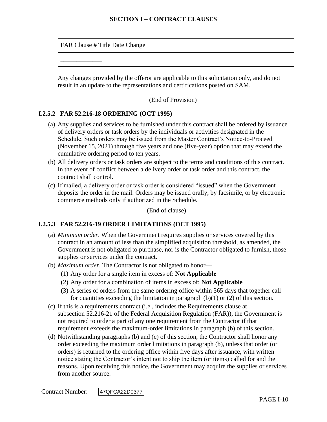FAR Clause # Title Date Change

\_\_\_\_\_\_\_\_\_\_\_\_\_

Any changes provided by the offeror are applicable to this solicitation only, and do not result in an update to the representations and certifications posted on SAM.

(End of Provision)

### **I.2.5.2 FAR 52.216-18 ORDERING (OCT 1995)**

- (a) Any supplies and services to be furnished under this contract shall be ordered by issuance of delivery orders or task orders by the individuals or activities designated in the Schedule. Such orders may be issued from the Master Contract's Notice-to-Proceed (November 15, 2021) through five years and one (five-year) option that may extend the cumulative ordering period to ten years.
- (b) All delivery orders or task orders are subject to the terms and conditions of this contract. In the event of conflict between a delivery order or task order and this contract, the contract shall control.
- (c) If mailed, a delivery order or task order is considered "issued" when the Government deposits the order in the mail. Orders may be issued orally, by facsimile, or by electronic commerce methods only if authorized in the Schedule.

(End of clause)

## **I.2.5.3 FAR 52.216-19 ORDER LIMITATIONS (OCT 1995)**

- (a) *Minimum order*. When the Government requires supplies or services covered by this contract in an amount of less than the simplified acquisition threshold, as amended, the Government is not obligated to purchase, nor is the Contractor obligated to furnish, those supplies or services under the contract.
- (b) *Maximum order*. The Contractor is not obligated to honor—
	- (1) Any order for a single item in excess of: **Not Applicable**
	- (2) Any order for a combination of items in excess of: **Not Applicable**
	- (3) A series of orders from the same ordering office within 365 days that together call for quantities exceeding the limitation in paragraph  $(b)(1)$  or  $(2)$  of this section.
- (c) If this is a requirements contract (i.e., includes the Requirements clause at subsection [52.216-21](https://www.acquisition.gov/far/current/html/52_216.html#wp1115057) of the Federal Acquisition Regulation (FAR)), the Government is not required to order a part of any one requirement from the Contractor if that requirement exceeds the maximum-order limitations in paragraph (b) of this section.
- (d) Notwithstanding paragraphs (b) and (c) of this section, the Contractor shall honor any order exceeding the maximum order limitations in paragraph (b), unless that order (or orders) is returned to the ordering office within five days after issuance, with written notice stating the Contractor's intent not to ship the item (or items) called for and the reasons. Upon receiving this notice, the Government may acquire the supplies or services from another source.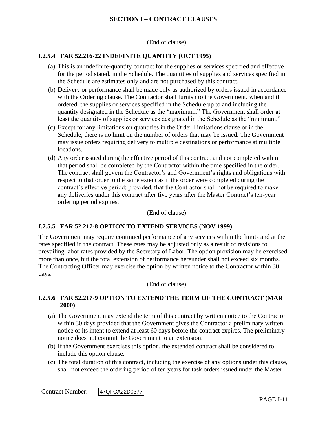(End of clause)

### **I.2.5.4 FAR 52.216-22 INDEFINITE QUANTITY (OCT 1995)**

- (a) This is an indefinite-quantity contract for the supplies or services specified and effective for the period stated, in the Schedule. The quantities of supplies and services specified in the Schedule are estimates only and are not purchased by this contract.
- (b) Delivery or performance shall be made only as authorized by orders issued in accordance with the Ordering clause. The Contractor shall furnish to the Government, when and if ordered, the supplies or services specified in the Schedule up to and including the quantity designated in the Schedule as the "maximum." The Government shall order at least the quantity of supplies or services designated in the Schedule as the "minimum."
- (c) Except for any limitations on quantities in the Order Limitations clause or in the Schedule, there is no limit on the number of orders that may be issued. The Government may issue orders requiring delivery to multiple destinations or performance at multiple locations.
- (d) Any order issued during the effective period of this contract and not completed within that period shall be completed by the Contractor within the time specified in the order. The contract shall govern the Contractor's and Government's rights and obligations with respect to that order to the same extent as if the order were completed during the contract's effective period; provided, that the Contractor shall not be required to make any deliveries under this contract after five years after the Master Contract's ten-year ordering period expires.

(End of clause)

#### **I.2.5.5 FAR 52.217-8 OPTION TO EXTEND SERVICES (NOV 1999)**

The Government may require continued performance of any services within the limits and at the rates specified in the contract. These rates may be adjusted only as a result of revisions to prevailing labor rates provided by the Secretary of Labor. The option provision may be exercised more than once, but the total extension of performance hereunder shall not exceed six months. The Contracting Officer may exercise the option by written notice to the Contractor within 30 days.

(End of clause)

#### **I.2.5.6 FAR 52.217-9 OPTION TO EXTEND THE TERM OF THE CONTRACT (MAR 2000)**

- (a) The Government may extend the term of this contract by written notice to the Contractor within 30 days provided that the Government gives the Contractor a preliminary written notice of its intent to extend at least 60 days before the contract expires. The preliminary notice does not commit the Government to an extension.
- (b) If the Government exercises this option, the extended contract shall be considered to include this option clause.
- (c) The total duration of this contract, including the exercise of any options under this clause, shall not exceed the ordering period of ten years for task orders issued under the Master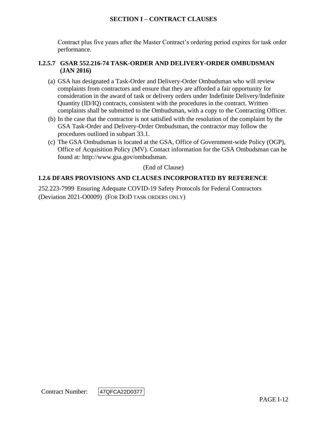Contract plus five years after the Master Contract's ordering period expires for task order performance.

### **I.2.5.7 GSAR 552.216-74 TASK-ORDER AND DELIVERY-ORDER OMBUDSMAN (JAN 2016)**

- (a) GSA has designated a Task-Order and Delivery-Order Ombudsman who will review complaints from contractors and ensure that they are afforded a fair opportunity for consideration in the award of task or delivery orders under Indefinite Delivery/Indefinite Quantity (ID/IQ) contracts, consistent with the procedures in the contract. Written complaints shall be submitted to the Ombudsman, with a copy to the Contracting Officer.
- (b) In the case that the contractor is not satisfied with the resolution of the complaint by the GSA Task-Order and Delivery-Order Ombudsman, the contractor may follow the procedures outlined in subpart 33.1.
- (c) The GSA Ombudsman is located at the GSA, Office of Government-wide Policy (OGP), Office of Acquisition Policy (MV). Contact information for the GSA Ombudsman can be found at: [http://www.gsa.gov/ombudsman.](http://www.gsa.gov/ombudsman)

(End of Clause)

## **I.2.6 DFARS PROVISIONS AND CLAUSES INCORPORATED BY REFERENCE**

252.223-7999 Ensuring Adequate COVID-19 Safety Protocols for Federal Contractors (Deviation 2021-O0009) (FOR DOD TASK ORDERS ONLY)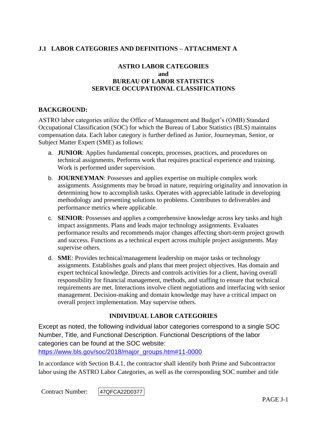# **J.1 LABOR CATEGORIES AND DEFINITIONS – ATTACHMENT A**

## **ASTRO LABOR CATEGORIES and BUREAU OF LABOR STATISTICS SERVICE OCCUPATIONAL CLASSIFICATIONS**

### **BACKGROUND:**

ASTRO labor categories utilize the Office of Management and Budget's (OMB) Standard Occupational Classification (SOC) for which the Bureau of Labor Statistics (BLS) maintains compensation data. Each labor category is further defined as Junior, Journeyman, Senior, or Subject Matter Expert (SME) as follows:

- a. **JUNIOR**: Applies fundamental concepts, processes, practices, and procedures on technical assignments. Performs work that requires practical experience and training. Work is performed under supervision.
- b. **JOURNEYMAN**: Possesses and applies expertise on multiple complex work assignments. Assignments may be broad in nature, requiring originality and innovation in determining how to accomplish tasks. Operates with appreciable latitude in developing methodology and presenting solutions to problems. Contributes to deliverables and performance metrics where applicable.
- c. **SENIOR**: Possesses and applies a comprehensive knowledge across key tasks and high impact assignments. Plans and leads major technology assignments. Evaluates performance results and recommends major changes affecting short-term project growth and success. Functions as a technical expert across multiple project assignments. May supervise others.
- d. **SME**: Provides technical/management leadership on major tasks or technology assignments. Establishes goals and plans that meet project objectives. Has domain and expert technical knowledge. Directs and controls activities for a client, having overall responsibility for financial management, methods, and staffing to ensure that technical requirements are met. Interactions involve client negotiations and interfacing with senior management. Decision-making and domain knowledge may have a critical impact on overall project implementation. May supervise others.

## **INDIVIDUAL LABOR CATEGORIES**

Except as noted, the following individual labor categories correspond to a single SOC Number, Title, and Functional Description. Functional Descriptions of the labor categories can be found at the SOC website:

[https://www.bls.gov/soc/2018/major\\_groups.htm#11-0000](https://www.bls.gov/soc/2018/major_groups.htm#11-0000)

In accordance with Section B.4.1, the contractor shall identify both Prime and Subcontractor labor using the ASTRO Labor Categories, as well as the corresponding SOC number and title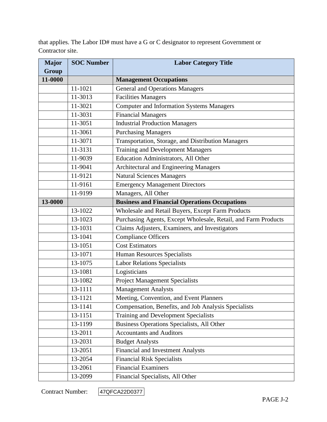that applies. The Labor ID# must have a G or C designator to represent Government or Contractor site.

| <b>Major</b> | <b>SOC Number</b> | <b>Labor Category Title</b>                                    |
|--------------|-------------------|----------------------------------------------------------------|
| <b>Group</b> |                   |                                                                |
| 11-0000      |                   | <b>Management Occupations</b>                                  |
|              | 11-1021           | <b>General and Operations Managers</b>                         |
|              | 11-3013           | <b>Facilities Managers</b>                                     |
|              | 11-3021           | <b>Computer and Information Systems Managers</b>               |
|              | 11-3031           | <b>Financial Managers</b>                                      |
|              | 11-3051           | <b>Industrial Production Managers</b>                          |
|              | 11-3061           | <b>Purchasing Managers</b>                                     |
|              | 11-3071           | Transportation, Storage, and Distribution Managers             |
|              | 11-3131           | <b>Training and Development Managers</b>                       |
|              | 11-9039           | Education Administrators, All Other                            |
|              | 11-9041           | Architectural and Engineering Managers                         |
|              | 11-9121           | Natural Sciences Managers                                      |
|              | 11-9161           | <b>Emergency Management Directors</b>                          |
|              | 11-9199           | Managers, All Other                                            |
| 13-0000      |                   | <b>Business and Financial Operations Occupations</b>           |
|              | 13-1022           | Wholesale and Retail Buyers, Except Farm Products              |
|              | 13-1023           | Purchasing Agents, Except Wholesale, Retail, and Farm Products |
|              | 13-1031           | Claims Adjusters, Examiners, and Investigators                 |
|              | 13-1041           | <b>Compliance Officers</b>                                     |
|              | 13-1051           | <b>Cost Estimators</b>                                         |
|              | 13-1071           | <b>Human Resources Specialists</b>                             |
|              | 13-1075           | <b>Labor Relations Specialists</b>                             |
|              | 13-1081           | Logisticians                                                   |
|              | 13-1082           | <b>Project Management Specialists</b>                          |
|              | 13-1111           | <b>Management Analysts</b>                                     |
|              | 13-1121           | Meeting, Convention, and Event Planners                        |
|              | 13-1141           | Compensation, Benefits, and Job Analysis Specialists           |
|              | 13-1151           | <b>Training and Development Specialists</b>                    |
|              | 13-1199           | Business Operations Specialists, All Other                     |
|              | 13-2011           | <b>Accountants and Auditors</b>                                |
|              | 13-2031           | <b>Budget Analysts</b>                                         |
|              | 13-2051           | <b>Financial and Investment Analysts</b>                       |
|              | 13-2054           | <b>Financial Risk Specialists</b>                              |
|              | 13-2061           | <b>Financial Examiners</b>                                     |
|              | 13-2099           | Financial Specialists, All Other                               |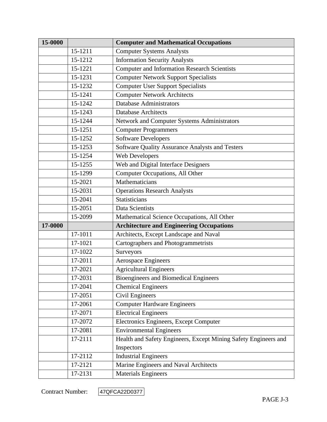| 15-0000 |         | <b>Computer and Mathematical Occupations</b>                    |
|---------|---------|-----------------------------------------------------------------|
|         | 15-1211 | <b>Computer Systems Analysts</b>                                |
|         | 15-1212 | <b>Information Security Analysts</b>                            |
|         | 15-1221 | Computer and Information Research Scientists                    |
|         | 15-1231 | <b>Computer Network Support Specialists</b>                     |
|         | 15-1232 | <b>Computer User Support Specialists</b>                        |
|         | 15-1241 | <b>Computer Network Architects</b>                              |
|         | 15-1242 | <b>Database Administrators</b>                                  |
|         | 15-1243 | <b>Database Architects</b>                                      |
|         | 15-1244 | Network and Computer Systems Administrators                     |
|         | 15-1251 | <b>Computer Programmers</b>                                     |
|         | 15-1252 | <b>Software Developers</b>                                      |
|         | 15-1253 | Software Quality Assurance Analysts and Testers                 |
|         | 15-1254 | Web Developers                                                  |
|         | 15-1255 | Web and Digital Interface Designers                             |
|         | 15-1299 | Computer Occupations, All Other                                 |
|         | 15-2021 | Mathematicians                                                  |
|         | 15-2031 | <b>Operations Research Analysts</b>                             |
|         | 15-2041 | Statisticians                                                   |
|         | 15-2051 | Data Scientists                                                 |
|         | 15-2099 | Mathematical Science Occupations, All Other                     |
| 17-0000 |         | <b>Architecture and Engineering Occupations</b>                 |
|         | 17-1011 | Architects, Except Landscape and Naval                          |
|         | 17-1021 | Cartographers and Photogrammetrists                             |
|         | 17-1022 | Surveyors                                                       |
|         | 17-2011 | <b>Aerospace Engineers</b>                                      |
|         | 17-2021 | <b>Agricultural Engineers</b>                                   |
|         | 17-2031 | <b>Bioengineers and Biomedical Engineers</b>                    |
|         | 17-2041 | <b>Chemical Engineers</b>                                       |
|         | 17-2051 | Civil Engineers                                                 |
|         | 17-2061 | <b>Computer Hardware Engineers</b>                              |
|         | 17-2071 | <b>Electrical Engineers</b>                                     |
|         | 17-2072 | Electronics Engineers, Except Computer                          |
|         | 17-2081 | <b>Environmental Engineers</b>                                  |
|         | 17-2111 | Health and Safety Engineers, Except Mining Safety Engineers and |
|         |         | Inspectors                                                      |
|         | 17-2112 | <b>Industrial Engineers</b>                                     |
|         | 17-2121 | Marine Engineers and Naval Architects                           |
|         | 17-2131 | <b>Materials Engineers</b>                                      |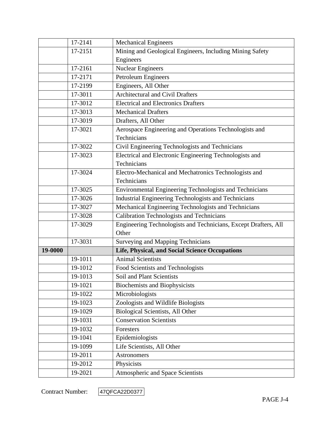|         | 17-2141 | <b>Mechanical Engineers</b>                                     |
|---------|---------|-----------------------------------------------------------------|
|         | 17-2151 | Mining and Geological Engineers, Including Mining Safety        |
|         |         | Engineers                                                       |
|         | 17-2161 | <b>Nuclear Engineers</b>                                        |
|         | 17-2171 | Petroleum Engineers                                             |
|         | 17-2199 | Engineers, All Other                                            |
|         | 17-3011 | <b>Architectural and Civil Drafters</b>                         |
|         | 17-3012 | <b>Electrical and Electronics Drafters</b>                      |
|         | 17-3013 | <b>Mechanical Drafters</b>                                      |
|         | 17-3019 | Drafters, All Other                                             |
|         | 17-3021 | Aerospace Engineering and Operations Technologists and          |
|         |         | Technicians                                                     |
|         | 17-3022 | Civil Engineering Technologists and Technicians                 |
|         | 17-3023 | Electrical and Electronic Engineering Technologists and         |
|         |         | Technicians                                                     |
|         | 17-3024 | Electro-Mechanical and Mechatronics Technologists and           |
|         |         | Technicians                                                     |
|         | 17-3025 | Environmental Engineering Technologists and Technicians         |
|         | 17-3026 | Industrial Engineering Technologists and Technicians            |
|         | 17-3027 | Mechanical Engineering Technologists and Technicians            |
|         | 17-3028 | <b>Calibration Technologists and Technicians</b>                |
|         | 17-3029 | Engineering Technologists and Technicians, Except Drafters, All |
|         |         | Other                                                           |
|         | 17-3031 | Surveying and Mapping Technicians                               |
| 19-0000 |         | Life, Physical, and Social Science Occupations                  |
|         | 19-1011 | <b>Animal Scientists</b>                                        |
|         | 19-1012 | Food Scientists and Technologists                               |
|         | 19-1013 | Soil and Plant Scientists                                       |
|         | 19-1021 | <b>Biochemists and Biophysicists</b>                            |
|         | 19-1022 | Microbiologists                                                 |
|         | 19-1023 | Zoologists and Wildlife Biologists                              |
|         | 19-1029 | Biological Scientists, All Other                                |
|         | 19-1031 | <b>Conservation Scientists</b>                                  |
|         | 19-1032 | Foresters                                                       |
|         | 19-1041 | Epidemiologists                                                 |
|         | 19-1099 | Life Scientists, All Other                                      |
|         | 19-2011 | Astronomers                                                     |
|         | 19-2012 | Physicists                                                      |
|         | 19-2021 | Atmospheric and Space Scientists                                |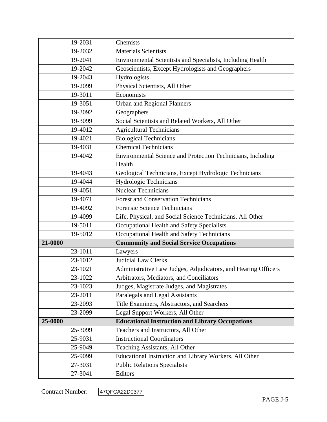|         | 19-2031 | Chemists                                                      |
|---------|---------|---------------------------------------------------------------|
|         | 19-2032 | <b>Materials Scientists</b>                                   |
|         | 19-2041 | Environmental Scientists and Specialists, Including Health    |
|         | 19-2042 | Geoscientists, Except Hydrologists and Geographers            |
|         | 19-2043 | Hydrologists                                                  |
|         | 19-2099 | Physical Scientists, All Other                                |
|         | 19-3011 | Economists                                                    |
|         | 19-3051 | <b>Urban and Regional Planners</b>                            |
|         | 19-3092 | Geographers                                                   |
|         | 19-3099 | Social Scientists and Related Workers, All Other              |
|         | 19-4012 | <b>Agricultural Technicians</b>                               |
|         | 19-4021 | <b>Biological Technicians</b>                                 |
|         | 19-4031 | <b>Chemical Technicians</b>                                   |
|         | 19-4042 | Environmental Science and Protection Technicians, Including   |
|         |         | Health                                                        |
|         | 19-4043 | Geological Technicians, Except Hydrologic Technicians         |
|         | 19-4044 | Hydrologic Technicians                                        |
|         | 19-4051 | <b>Nuclear Technicians</b>                                    |
|         | 19-4071 | <b>Forest and Conservation Technicians</b>                    |
|         | 19-4092 | <b>Forensic Science Technicians</b>                           |
|         | 19-4099 | Life, Physical, and Social Science Technicians, All Other     |
|         | 19-5011 | Occupational Health and Safety Specialists                    |
|         | 19-5012 | Occupational Health and Safety Technicians                    |
| 21-0000 |         | <b>Community and Social Service Occupations</b>               |
|         | 23-1011 | Lawyers                                                       |
|         | 23-1012 | <b>Judicial Law Clerks</b>                                    |
|         | 23-1021 | Administrative Law Judges, Adjudicators, and Hearing Officers |
|         | 23-1022 | Arbitrators, Mediators, and Conciliators                      |
|         | 23-1023 | Judges, Magistrate Judges, and Magistrates                    |
|         | 23-2011 | Paralegals and Legal Assistants                               |
|         | 23-2093 | Title Examiners, Abstractors, and Searchers                   |
|         | 23-2099 | Legal Support Workers, All Other                              |
| 25-0000 |         | <b>Educational Instruction and Library Occupations</b>        |
|         | 25-3099 | Teachers and Instructors, All Other                           |
|         | 25-9031 | <b>Instructional Coordinators</b>                             |
|         | 25-9049 | Teaching Assistants, All Other                                |
|         | 25-9099 | Educational Instruction and Library Workers, All Other        |
|         | 27-3031 | <b>Public Relations Specialists</b>                           |
|         | 27-3041 | Editors                                                       |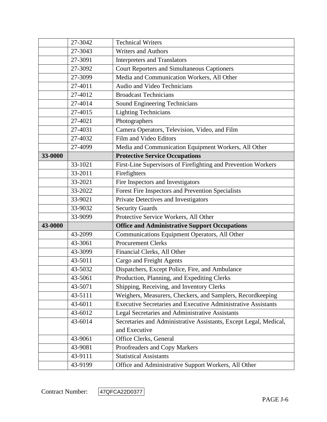|         | 27-3042 | <b>Technical Writers</b>                                             |
|---------|---------|----------------------------------------------------------------------|
|         | 27-3043 | <b>Writers and Authors</b>                                           |
|         | 27-3091 | <b>Interpreters and Translators</b>                                  |
|         | 27-3092 | <b>Court Reporters and Simultaneous Captioners</b>                   |
|         | 27-3099 | Media and Communication Workers, All Other                           |
|         | 27-4011 | Audio and Video Technicians                                          |
|         | 27-4012 | <b>Broadcast Technicians</b>                                         |
|         | 27-4014 | Sound Engineering Technicians                                        |
|         | 27-4015 | <b>Lighting Technicians</b>                                          |
|         | 27-4021 | Photographers                                                        |
|         | 27-4031 | Camera Operators, Television, Video, and Film                        |
|         | 27-4032 | Film and Video Editors                                               |
|         | 27-4099 | Media and Communication Equipment Workers, All Other                 |
| 33-0000 |         | <b>Protective Service Occupations</b>                                |
|         | 33-1021 | First-Line Supervisors of Firefighting and Prevention Workers        |
|         | 33-2011 | Firefighters                                                         |
|         | 33-2021 | Fire Inspectors and Investigators                                    |
|         | 33-2022 | Forest Fire Inspectors and Prevention Specialists                    |
|         | 33-9021 | Private Detectives and Investigators                                 |
|         | 33-9032 | <b>Security Guards</b>                                               |
|         | 33-9099 | Protective Service Workers, All Other                                |
| 43-0000 |         | <b>Office and Administrative Support Occupations</b>                 |
|         | 43-2099 | Communications Equipment Operators, All Other                        |
|         | 43-3061 | <b>Procurement Clerks</b>                                            |
|         | 43-3099 | Financial Clerks, All Other                                          |
|         | 43-5011 | Cargo and Freight Agents                                             |
|         | 43-5032 | Dispatchers, Except Police, Fire, and Ambulance                      |
|         | 43-5061 | Production, Planning, and Expediting Clerks                          |
|         | 43-5071 | Shipping, Receiving, and Inventory Clerks                            |
|         | 43-5111 | Weighers, Measurers, Checkers, and Samplers, Recordkeeping           |
|         | 43-6011 | <b>Executive Secretaries and Executive Administrative Assistants</b> |
|         | 43-6012 | Legal Secretaries and Administrative Assistants                      |
|         | 43-6014 | Secretaries and Administrative Assistants, Except Legal, Medical,    |
|         |         | and Executive                                                        |
|         | 43-9061 | Office Clerks, General                                               |
|         | 43-9081 | Proofreaders and Copy Markers                                        |
|         | 43-9111 | <b>Statistical Assistants</b>                                        |
|         | 43-9199 | Office and Administrative Support Workers, All Other                 |

Contract Number: 47QFCA22D0377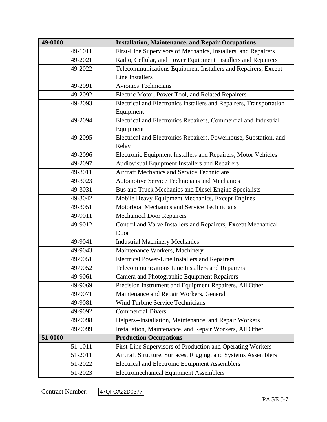| 49-0000 |         | <b>Installation, Maintenance, and Repair Occupations</b>            |
|---------|---------|---------------------------------------------------------------------|
|         | 49-1011 | First-Line Supervisors of Mechanics, Installers, and Repairers      |
|         | 49-2021 | Radio, Cellular, and Tower Equipment Installers and Repairers       |
|         | 49-2022 | Telecommunications Equipment Installers and Repairers, Except       |
|         |         | <b>Line Installers</b>                                              |
|         | 49-2091 | <b>Avionics Technicians</b>                                         |
|         | 49-2092 | Electric Motor, Power Tool, and Related Repairers                   |
|         | 49-2093 | Electrical and Electronics Installers and Repairers, Transportation |
|         |         | Equipment                                                           |
|         | 49-2094 | Electrical and Electronics Repairers, Commercial and Industrial     |
|         |         | Equipment                                                           |
|         | 49-2095 | Electrical and Electronics Repairers, Powerhouse, Substation, and   |
|         |         | Relay                                                               |
|         | 49-2096 | Electronic Equipment Installers and Repairers, Motor Vehicles       |
|         | 49-2097 | Audiovisual Equipment Installers and Repairers                      |
|         | 49-3011 | <b>Aircraft Mechanics and Service Technicians</b>                   |
|         | 49-3023 | <b>Automotive Service Technicians and Mechanics</b>                 |
|         | 49-3031 | Bus and Truck Mechanics and Diesel Engine Specialists               |
|         | 49-3042 | Mobile Heavy Equipment Mechanics, Except Engines                    |
|         | 49-3051 | Motorboat Mechanics and Service Technicians                         |
|         | 49-9011 | <b>Mechanical Door Repairers</b>                                    |
|         | 49-9012 | Control and Valve Installers and Repairers, Except Mechanical       |
|         |         | Door                                                                |
|         | 49-9041 | <b>Industrial Machinery Mechanics</b>                               |
|         | 49-9043 | Maintenance Workers, Machinery                                      |
|         | 49-9051 | <b>Electrical Power-Line Installers and Repairers</b>               |
|         | 49-9052 | Telecommunications Line Installers and Repairers                    |
|         | 49-9061 | Camera and Photographic Equipment Repairers                         |
|         | 49-9069 | Precision Instrument and Equipment Repairers, All Other             |
|         | 49-9071 | Maintenance and Repair Workers, General                             |
|         | 49-9081 | <b>Wind Turbine Service Technicians</b>                             |
|         | 49-9092 | <b>Commercial Divers</b>                                            |
|         | 49-9098 | Helpers--Installation, Maintenance, and Repair Workers              |
|         | 49-9099 | Installation, Maintenance, and Repair Workers, All Other            |
| 51-0000 |         | <b>Production Occupations</b>                                       |
|         | 51-1011 | First-Line Supervisors of Production and Operating Workers          |
|         | 51-2011 | Aircraft Structure, Surfaces, Rigging, and Systems Assemblers       |
|         | 51-2022 | <b>Electrical and Electronic Equipment Assemblers</b>               |
|         | 51-2023 | <b>Electromechanical Equipment Assemblers</b>                       |

Contract Number: 47QFCA22D0377